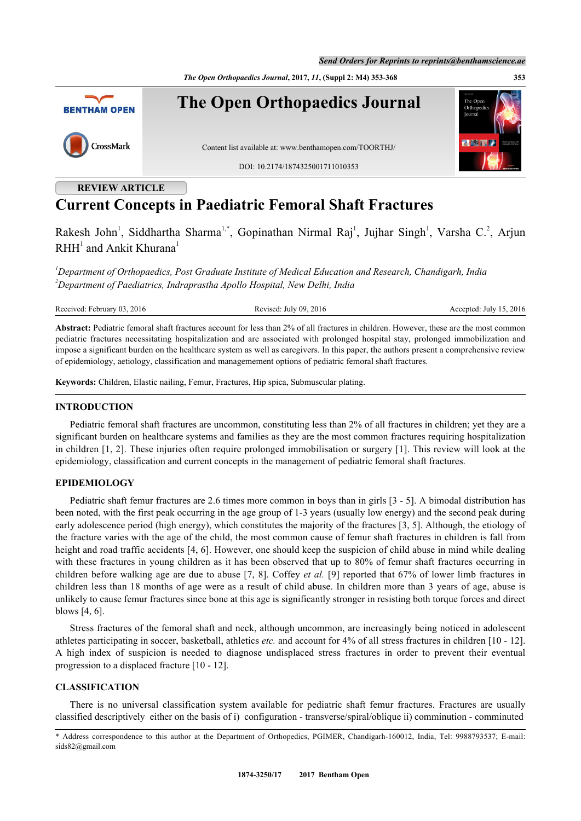*The Open Orthopaedics Journal***, 2017,** *11***, (Suppl 2: M4) 353-368 353**



# **REVIEW ARTICLE**

# **Current Concepts in Paediatric Femoral Shaft Fractures**

Rakesh John<sup>[1](#page-0-0)</sup>, Siddhartha Sharma<sup>[1,](#page-0-0)[\\*](#page-0-1)</sup>, Gopinathan Nirmal Raj<sup>1</sup>, Jujhar Singh<sup>1</sup>, Varsha C.<sup>[2](#page-0-2)</sup>, Arjun  $RHH<sup>1</sup>$  $RHH<sup>1</sup>$  $RHH<sup>1</sup>$  and Ankit Khurana<sup>1</sup>

<span id="page-0-2"></span><span id="page-0-0"></span>*<sup>1</sup>Department of Orthopaedics, Post Graduate Institute of Medical Education and Research, Chandigarh, India <sup>2</sup>Department of Paediatrics, Indraprastha Apollo Hospital, New Delhi, India*

Received: February 03, 2016 Revised: July 09, 2016 Revised: July 09, 2016 Accepted: July 15, 2016

**Abstract:** Pediatric femoral shaft fractures account for less than 2% of all fractures in children. However, these are the most common pediatric fractures necessitating hospitalization and are associated with prolonged hospital stay, prolonged immobilization and impose a significant burden on the healthcare system as well as caregivers. In this paper, the authors present a comprehensive review of epidemiology, aetiology, classification and managemement options of pediatric femoral shaft fractures.

**Keywords:** Children, Elastic nailing, Femur, Fractures, Hip spica, Submuscular plating.

#### **INTRODUCTION**

Pediatric femoral shaft fractures are uncommon, constituting less than 2% of all fractures in children; yet they are a significant burden on healthcare systems and families as they are the most common fractures requiring hospitalization in children [[1,](#page-10-0) [2\]](#page-10-1). These injuries often require prolonged immobilisation or surgery [[1](#page-10-0)]. This review will look at the epidemiology, classification and current concepts in the management of pediatric femoral shaft fractures.

# **EPIDEMIOLOGY**

Pediatric shaft femur fractures are 2.6 times more common in boys than in girls [\[3](#page-10-2) - [5](#page-10-3)]. A bimodal distribution has been noted, with the first peak occurring in the age group of 1-3 years (usually low energy) and the second peak during early adolescence period (high energy), which constitutes the majority of the fractures [\[3](#page-10-2), [5](#page-10-3)]. Although, the etiology of the fracture varies with the age of the child, the most common cause of femur shaft fractures in children is fall from height and road traffic accidents [\[4](#page-10-4), [6\]](#page-10-5). However, one should keep the suspicion of child abuse in mind while dealing with these fractures in young children as it has been observed that up to 80% of femur shaft fractures occurring in children before walking age are due to abuse [\[7,](#page-10-6) [8\]](#page-10-7). Coffey *et al.* [[9\]](#page-10-8) reported that 67% of lower limb fractures in children less than 18 months of age were as a result of child abuse. In children more than 3 years of age, abuse is unlikely to cause femur fractures since bone at this age is significantly stronger in resisting both torque forces and direct blows [\[4](#page-10-4), [6](#page-10-5)].

Stress fractures of the femoral shaft and neck, although uncommon, are increasingly being noticed in adolescent athletes participating in soccer, basketball, athletics *etc.* and account for 4% of all stress fractures in children [[10](#page-10-9) - [12\]](#page-10-10). A high index of suspicion is needed to diagnose undisplaced stress fractures in order to prevent their eventual progression to a displaced fracture [\[10](#page-10-9) - [12\]](#page-10-10).

# **CLASSIFICATION**

There is no universal classification system available for pediatric shaft femur fractures. Fractures are usually classified descriptively either on the basis of i) configuration - transverse/spiral/oblique ii) comminution - comminuted

<span id="page-0-1"></span><sup>\*</sup> Address correspondence to this author at the Department of Orthopedics, PGIMER, Chandigarh-160012, India, Tel: 9988793537; E-mail: [sids82@gmail.com](mailto:sids82@gmail.com)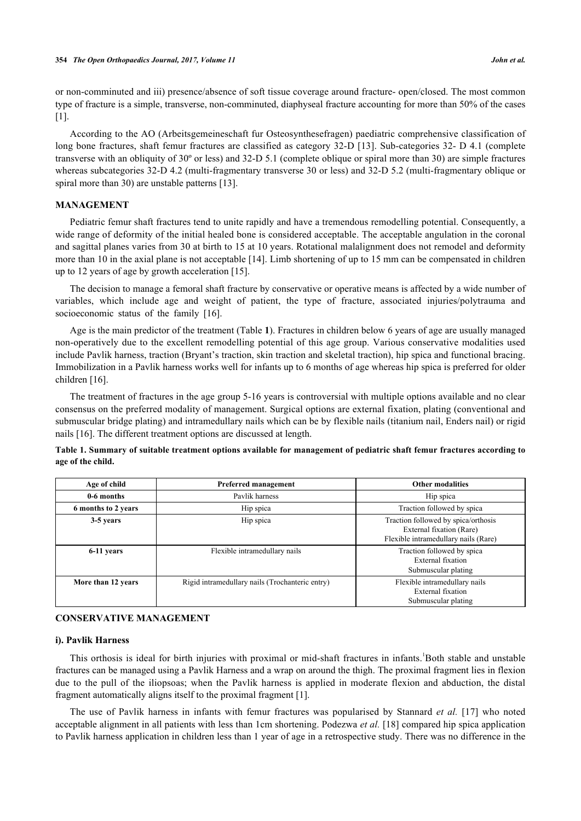or non-comminuted and iii) presence/absence of soft tissue coverage around fracture- open/closed. The most common type of fracture is a simple, transverse, non-comminuted, diaphyseal fracture accounting for more than 50% of the cases [\[1](#page-10-0)].

According to the AO (Arbeitsgemeineschaft fur Osteosynthesefragen) paediatric comprehensive classification of long bone fractures, shaft femur fractures are classified as category 32-D [[13](#page-10-11)]. Sub-categories 32- D 4.1 (complete transverse with an obliquity of 30º or less) and 32-D 5.1 (complete oblique or spiral more than 30) are simple fractures whereas subcategories 32-D 4.2 (multi-fragmentary transverse 30 or less) and 32-D 5.2 (multi-fragmentary oblique or spiral more than 30) are unstable patterns [\[13](#page-10-11)].

## **MANAGEMENT**

Pediatric femur shaft fractures tend to unite rapidly and have a tremendous remodelling potential. Consequently, a wide range of deformity of the initial healed bone is considered acceptable. The acceptable angulation in the coronal and sagittal planes varies from 30 at birth to 15 at 10 years. Rotational malalignment does not remodel and deformity more than 10 in the axial plane is not acceptable [[14](#page-10-12)]. Limb shortening of up to 15 mm can be compensated in children up to 12 years of age by growth acceleration [\[15](#page-10-13)].

The decision to manage a femoral shaft fracture by conservative or operative means is affected by a wide number of variables, which include age and weight of patient, the type of fracture, associated injuries/polytrauma and socioeconomicstatus of the family [[16\]](#page-10-14).

Age is the main predictor of the treatment (Table **[1](#page-1-0)**). Fractures in children below 6 years of age are usually managed non-operatively due to the excellent remodelling potential of this age group. Various conservative modalities used include Pavlik harness, traction (Bryant's traction, skin traction and skeletal traction), hip spica and functional bracing. Immobilization in a Pavlik harness works well for infants up to 6 months of age whereas hip spica is preferred for older children [\[16](#page-10-14)].

The treatment of fractures in the age group 5-16 years is controversial with multiple options available and no clear consensus on the preferred modality of management. Surgical options are external fixation, plating (conventional and submuscular bridge plating) and intramedullary nails which can be by flexible nails (titanium nail, Enders nail) or rigid nails [\[16](#page-10-14)]. The different treatment options are discussed at length.

<span id="page-1-0"></span>

|                   | Table 1. Summary of suitable treatment options available for management of pediatric shaft femur fractures according to |  |  |  |
|-------------------|-------------------------------------------------------------------------------------------------------------------------|--|--|--|
| age of the child. |                                                                                                                         |  |  |  |

| Age of child        | Preferred management                            | <b>Other modalities</b>                                                                                 |
|---------------------|-------------------------------------------------|---------------------------------------------------------------------------------------------------------|
| 0-6 months          | Pavlik harness                                  | Hip spica                                                                                               |
| 6 months to 2 years | Hip spica                                       | Traction followed by spica                                                                              |
| 3-5 years           | Hip spica                                       | Traction followed by spica/orthosis<br>External fixation (Rare)<br>Flexible intramedullary nails (Rare) |
| 6-11 years          | Flexible intramedullary nails                   | Traction followed by spica<br>External fixation<br>Submuscular plating                                  |
| More than 12 years  | Rigid intramedullary nails (Trochanteric entry) | Flexible intramedullary nails<br>External fixation<br>Submuscular plating                               |

#### **CONSERVATIVE MANAGEMENT**

#### **i). Pavlik Harness**

This orthosis is ideal for birth injuries with proximal or mid-shaft fractures in infants.<sup>1</sup>Both stable and unstable fractures can be managed using a Pavlik Harness and a wrap on around the thigh. The proximal fragment lies in flexion due to the pull of the iliopsoas; when the Pavlik harness is applied in moderate flexion and abduction, the distal fragment automatically aligns itself to the proximal fragment [[1\]](#page-10-0).

The use of Pavlik harness in infants with femur fractures was popularised by Stannard *et al.* [[17\]](#page-11-0) who noted acceptable alignment in all patients with less than 1cm shortening. Podezwa *et al.* [[18\]](#page-11-1) compared hip spica application to Pavlik harness application in children less than 1 year of age in a retrospective study. There was no difference in the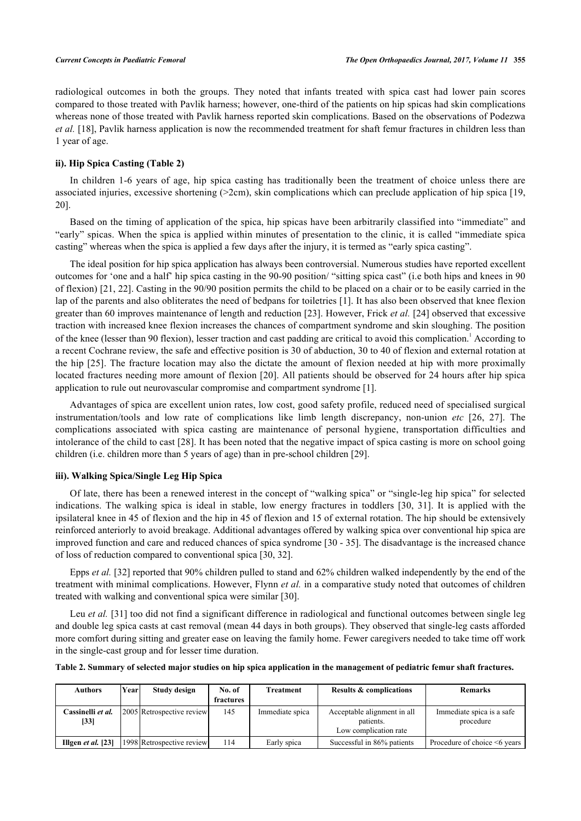radiological outcomes in both the groups. They noted that infants treated with spica cast had lower pain scores compared to those treated with Pavlik harness; however, one-third of the patients on hip spicas had skin complications whereas none of those treated with Pavlik harness reported skin complications. Based on the observations of Podezwa *et al.* [\[18](#page-11-1)], Pavlik harness application is now the recommended treatment for shaft femur fractures in children less than 1 year of age.

# **ii). Hip Spica Casting (Table [2\)](#page-2-0)**

In children 1-6 years of age, hip spica casting has traditionally been the treatment of choice unless there are associated injuries, excessive shortening  $(2cm)$ , skin complications which can preclude application of hip spica [[19](#page-11-2), [20\]](#page-11-3).

Based on the timing of application of the spica, hip spicas have been arbitrarily classified into "immediate" and "early" spicas. When the spica is applied within minutes of presentation to the clinic, it is called "immediate spica casting" whereas when the spica is applied a few days after the injury, it is termed as "early spica casting".

The ideal position for hip spica application has always been controversial. Numerous studies have reported excellent outcomes for 'one and a half' hip spica casting in the 90-90 position/ "sitting spica cast" (i.e both hips and knees in 90 of flexion) [[21,](#page-11-4) [22](#page-11-5)]. Casting in the 90/90 position permits the child to be placed on a chair or to be easily carried in the lap of the parents and also obliterates the need of bedpans for toiletries [\[1](#page-10-0)]. It has also been observed that knee flexion greater than 60 improves maintenance of length and reduction [\[23](#page-11-6)]. However, Frick *et al.* [[24\]](#page-11-7) observed that excessive traction with increased knee flexion increases the chances of compartment syndrome and skin sloughing. The position of the knee (lesser than 90 flexion), lesser traction and cast padding are critical to avoid this complication.<sup>1</sup> According to a recent Cochrane review, the safe and effective position is 30 of abduction, 30 to 40 of flexion and external rotation at the hip [[25](#page-11-8)]. The fracture location may also the dictate the amount of flexion needed at hip with more proximally located fractures needing more amount of flexion [[20](#page-11-3)]. All patients should be observed for 24 hours after hip spica application to rule out neurovascular compromise and compartment syndrome [\[1](#page-10-0)].

Advantages of spica are excellent union rates, low cost, good safety profile, reduced need of specialised surgical instrumentation/tools and low rate of complications like limb length discrepancy, non-union *etc* [[26](#page-11-9), [27\]](#page-11-10). The complications associated with spica casting are maintenance of personal hygiene, transportation difficulties and intolerance of the child to cast [\[28](#page-11-11)]. It has been noted that the negative impact of spica casting is more on school going children (i.e. children more than 5 years of age) than in pre-school children [\[29](#page-11-12)].

# **iii). Walking Spica/Single Leg Hip Spica**

Of late, there has been a renewed interest in the concept of "walking spica" or "single-leg hip spica" for selected indications. The walking spica is ideal in stable, low energy fractures in toddlers [\[30,](#page-11-13) [31](#page-11-14)]. It is applied with the ipsilateral knee in 45 of flexion and the hip in 45 of flexion and 15 of external rotation. The hip should be extensively reinforced anteriorly to avoid breakage. Additional advantages offered by walking spica over conventional hip spica are improved function and care and reduced chances of spica syndrome [[30](#page-11-13) - [35](#page-11-15)]. The disadvantage is the increased chance of loss of reduction compared to conventional spica [\[30](#page-11-13), [32](#page-11-16)].

Epps *et al.* [\[32](#page-11-16)] reported that 90% children pulled to stand and 62% children walked independently by the end of the treatment with minimal complications. However, Flynn *et al.* in a comparative study noted that outcomes of children treated with walking and conventional spica were similar [\[30](#page-11-13)].

Leu *et al.* [[31](#page-11-14)] too did not find a significant difference in radiological and functional outcomes between single leg and double leg spica casts at cast removal (mean 44 days in both groups). They observed that single-leg casts afforded more comfort during sitting and greater ease on leaving the family home. Fewer caregivers needed to take time off work in the single-cast group and for lesser time duration.

<span id="page-2-0"></span>**Table 2. Summary of selected major studies on hip spica application in the management of pediatric femur shaft fractures.**

| <b>Authors</b>                                 | Yearl | Study design              | No. of<br>fractures | <b>Treatment</b> | <b>Results &amp; complications</b>                                | <b>Remarks</b>                         |
|------------------------------------------------|-------|---------------------------|---------------------|------------------|-------------------------------------------------------------------|----------------------------------------|
| Cassinelli <i>et al</i> .<br>$\left[33\right]$ |       | 2005 Retrospective review | 145                 | Immediate spica  | Acceptable alignment in all<br>patients.<br>Low complication rate | Immediate spica is a safe<br>procedure |
| Illgen $et$ al. [23]                           |       | 1998 Retrospective review | 114                 | Early spica      | Successful in 86% patients                                        | Procedure of choice <6 years           |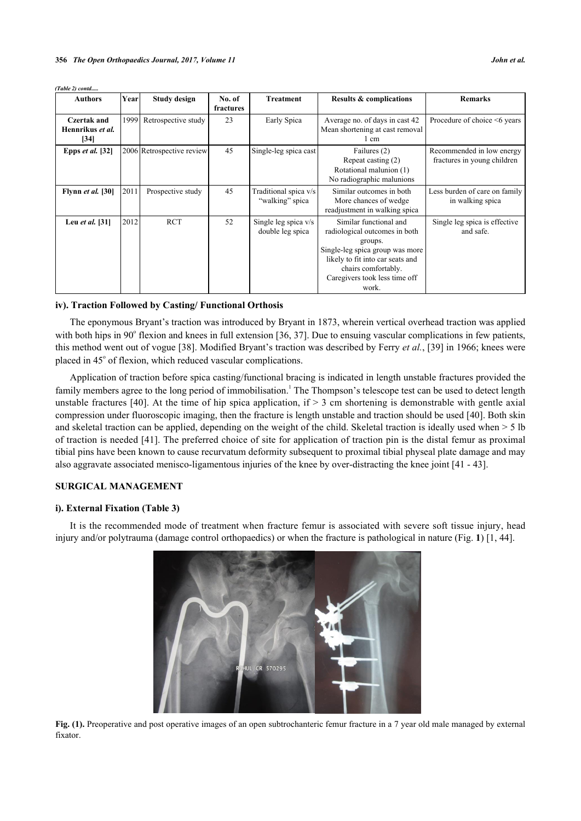| (Table 2) contd                         |       |                           |                     |                                          |                                                                                                                                                                                                            |                                                          |
|-----------------------------------------|-------|---------------------------|---------------------|------------------------------------------|------------------------------------------------------------------------------------------------------------------------------------------------------------------------------------------------------------|----------------------------------------------------------|
| <b>Authors</b>                          | Yearl | <b>Study design</b>       | No. of<br>fractures | <b>Treatment</b>                         | <b>Results &amp; complications</b>                                                                                                                                                                         | <b>Remarks</b>                                           |
| Czertak and<br>Hennrikus et al.<br>[34] |       | 1999 Retrospective study  | 23                  | Early Spica                              | Average no. of days in cast 42<br>Mean shortening at cast removal<br>1 cm                                                                                                                                  | Procedure of choice <6 years                             |
| Epps $et$ al. [32]                      |       | 2006 Retrospective review | 45                  | Single-leg spica cast                    | Failures (2)<br>Repeat casting (2)<br>Rotational malunion (1)<br>No radiographic malunions                                                                                                                 | Recommended in low energy<br>fractures in young children |
| <b>Flynn et al.</b> [30]                | 2011  | Prospective study         | 45                  | Traditional spica v/s<br>"walking" spica | Similar outcomes in both<br>More chances of wedge<br>readjustment in walking spica                                                                                                                         | Less burden of care on family<br>in walking spica        |
| Leu et al. [31]                         | 2012  | <b>RCT</b>                | 52                  | Single leg spica v/s<br>double leg spica | Similar functional and<br>radiological outcomes in both<br>groups.<br>Single-leg spica group was more<br>likely to fit into car seats and<br>chairs comfortably.<br>Caregivers took less time off<br>work. | Single leg spica is effective<br>and safe.               |

#### **iv). Traction Followed by Casting/ Functional Orthosis**

The eponymous Bryant's traction was introduced by Bryant in 1873, wherein vertical overhead traction was applied with both hips in  $90^\circ$  flexion and knees in full extension [\[36](#page-11-19), [37](#page-11-20)]. Due to ensuing vascular complications in few patients, this method went out of vogue [\[38](#page-11-21)]. Modified Bryant's traction was described by Ferry *et al.*, [\[39](#page-12-0)] in 1966; knees were placed in 45° of flexion, which reduced vascular complications.

Application of traction before spica casting/functional bracing is indicated in length unstable fractures provided the family members agree to the long period of immobilisation.<sup>1</sup> The Thompson's telescope test can be used to detect length unstable fractures [[40\]](#page-12-1). At the time of hip spica application, if  $> 3$  cm shortening is demonstrable with gentle axial compression under fluoroscopic imaging, then the fracture is length unstable and traction should be used [[40\]](#page-12-1). Both skin and skeletal traction can be applied, depending on the weight of the child. Skeletal traction is ideally used when > 5 lb of traction is needed [\[41](#page-12-2)]. The preferred choice of site for application of traction pin is the distal femur as proximal tibial pins have been known to cause recurvatum deformity subsequent to proximal tibial physeal plate damage and may also aggravate associated menisco-ligamentous injuries of the knee by over-distracting the knee joint [\[41](#page-12-2) - [43\]](#page-12-3).

#### **SURGICAL MANAGEMENT**

# **i). External Fixation (Table [3\)](#page-4-0)**

<span id="page-3-0"></span>It is the recommended mode of treatment when fracture femur is associated with severe soft tissue injury, head injury and/or polytrauma (damage control orthopaedics) or when the fracture is pathological in nature (Fig. **[1](#page-3-0)**) [[1,](#page-10-0) [44\]](#page-12-4).



**Fig. (1).** Preoperative and post operative images of an open subtrochanteric femur fracture in a 7 year old male managed by external fixator.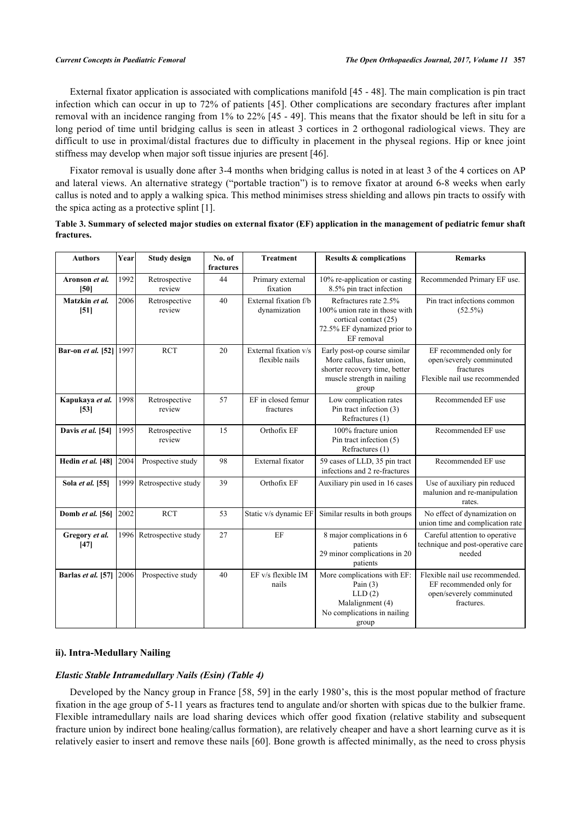External fixator application is associated with complications manifold [[45](#page-12-5) - [48\]](#page-12-6). The main complication is pin tract infection which can occur in up to 72% of patients [[45](#page-12-5)]. Other complications are secondary fractures after implant removal with an incidence ranging from 1% to 22% [\[45](#page-12-5) - [49\]](#page-12-7). This means that the fixator should be left in situ for a long period of time until bridging callus is seen in atleast 3 cortices in 2 orthogonal radiological views. They are difficult to use in proximal/distal fractures due to difficulty in placement in the physeal regions. Hip or knee joint stiffness may develop when major soft tissue injuries are present [\[46](#page-12-8)].

Fixator removal is usually done after 3-4 months when bridging callus is noted in at least 3 of the 4 cortices on AP and lateral views. An alternative strategy ("portable traction") is to remove fixator at around 6-8 weeks when early callus is noted and to apply a walking spica. This method minimises stress shielding and allows pin tracts to ossify with the spica acting as a protective splint [[1\]](#page-10-0).

<span id="page-4-0"></span>

|            |  | Table 3. Summary of selected major studies on external fixator (EF) application in the management of pediatric femur shaft |  |
|------------|--|----------------------------------------------------------------------------------------------------------------------------|--|
| fractures. |  |                                                                                                                            |  |

| <b>Authors</b>            | Year | <b>Study design</b>     | No. of<br>fractures | <b>Treatment</b>                        | <b>Results &amp; complications</b>                                                                                                 | <b>Remarks</b>                                                                                      |
|---------------------------|------|-------------------------|---------------------|-----------------------------------------|------------------------------------------------------------------------------------------------------------------------------------|-----------------------------------------------------------------------------------------------------|
| Aronson et al.<br>[50]    | 1992 | Retrospective<br>review | 44                  | Primary external<br>fixation            | $10\%$ re-application or casting<br>8.5% pin tract infection                                                                       | Recommended Primary EF use.                                                                         |
| Matzkin et al.<br>$[51]$  | 2006 | Retrospective<br>review | 40                  | External fixation f/b<br>dynamization   | Refractures rate 2.5%<br>100% union rate in those with<br>cortical contact (25)<br>72.5% EF dynamized prior to<br>EF removal       | Pin tract infections common<br>$(52.5\%)$                                                           |
| Bar-on et al. [52]        | 1997 | <b>RCT</b>              | 20                  | External fixation v/s<br>flexible nails | Early post-op course similar<br>More callus, faster union,<br>shorter recovery time, better<br>muscle strength in nailing<br>group | EF recommended only for<br>open/severely comminuted<br>fractures<br>Flexible nail use recommended   |
| Kapukaya et al.<br>$[53]$ | 1998 | Retrospective<br>review | 57                  | EF in closed femur<br>fractures         | Low complication rates<br>Pin tract infection (3)<br>Refractures (1)                                                               | Recommended EF use                                                                                  |
| Davis et al. [54]         | 1995 | Retrospective<br>review | 15                  | Orthofix EF                             | 100% fracture union<br>Pin tract infection (5)<br>Refractures (1)                                                                  | Recommended EF use                                                                                  |
| Hedin et al. [48]         | 2004 | Prospective study       | 98                  | External fixator                        | 59 cases of LLD, 35 pin tract<br>infections and 2 re-fractures                                                                     | Recommended EF use                                                                                  |
| Sola et al. [55]          | 1999 | Retrospective study     | 39                  | Orthofix EF                             | Auxiliary pin used in 16 cases                                                                                                     | Use of auxiliary pin reduced<br>malunion and re-manipulation<br>rates.                              |
| Domb et al. [56]          | 2002 | <b>RCT</b>              | 53                  | Static v/s dynamic EF                   | Similar results in both groups                                                                                                     | No effect of dynamization on<br>union time and complication rate                                    |
| Gregory et al.<br>[47]    | 1996 | Retrospective study     | 27                  | EF                                      | 8 major complications in 6<br>patients<br>29 minor complications in 20<br>patients                                                 | Careful attention to operative<br>technique and post-operative care<br>needed                       |
| Barlas et al. [57]        | 2006 | Prospective study       | 40                  | EF v/s flexible IM<br>nails             | More complications with EF:<br>Pain $(3)$<br>LLD(2)<br>Malalignment (4)<br>No complications in nailing<br>group                    | Flexible nail use recommended.<br>EF recommended only for<br>open/severely comminuted<br>fractures. |

#### **ii). Intra-Medullary Nailing**

#### *Elastic Stable Intramedullary Nails (Esin) (Table [4](#page-6-0))*

Developed by the Nancy group in France [[58](#page-12-18), [59\]](#page-12-19) in the early 1980's, this is the most popular method of fracture fixation in the age group of 5-11 years as fractures tend to angulate and/or shorten with spicas due to the bulkier frame. Flexible intramedullary nails are load sharing devices which offer good fixation (relative stability and subsequent fracture union by indirect bone healing/callus formation), are relatively cheaper and have a short learning curve as it is relatively easier to insert and remove these nails [[60\]](#page-13-0). Bone growth is affected minimally, as the need to cross physis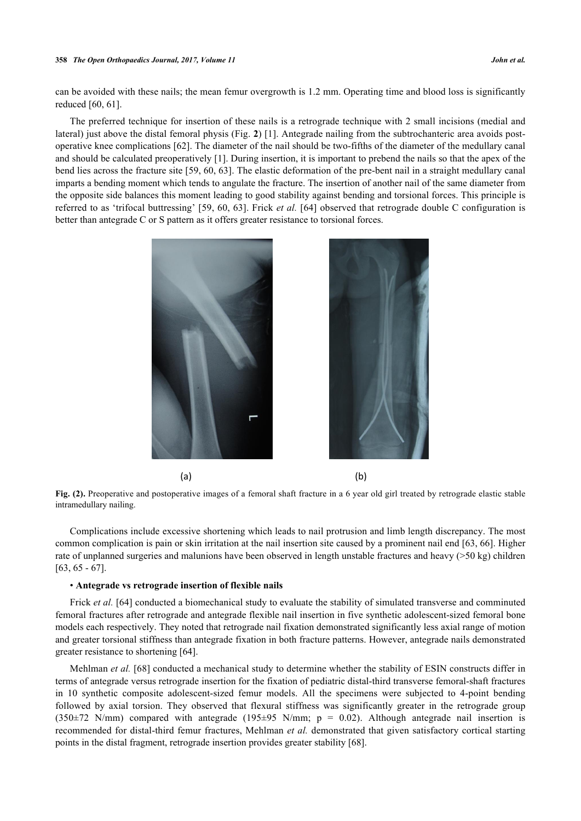#### **358** *The Open Orthopaedics Journal, 2017, Volume 11 John et al.*

can be avoided with these nails; the mean femur overgrowth is 1.2 mm. Operating time and blood loss is significantly reduced [\[60](#page-13-0), [61](#page-13-1)].

The preferred technique for insertion of these nails is a retrograde technique with 2 small incisions (medial and lateral) just above the distal femoral physis (Fig. **[2](#page-5-0)**) [[1\]](#page-10-0). Antegrade nailing from the subtrochanteric area avoids postoperative knee complications [\[62](#page-13-2)]. The diameter of the nail should be two-fifths of the diameter of the medullary canal and should be calculated preoperatively [[1](#page-10-0)]. During insertion, it is important to prebend the nails so that the apex of the bend lies across the fracture site [\[59](#page-12-19), [60,](#page-13-0) [63](#page-13-3)]. The elastic deformation of the pre-bent nail in a straight medullary canal imparts a bending moment which tends to angulate the fracture. The insertion of another nail of the same diameter from the opposite side balances this moment leading to good stability against bending and torsional forces. This principle is referred to as 'trifocal buttressing' [[59](#page-12-19), [60](#page-13-0), [63](#page-13-3)]. Frick *et al.* [\[64](#page-13-4)] observed that retrograde double C configuration is better than antegrade C or S pattern as it offers greater resistance to torsional forces.

<span id="page-5-0"></span>

**Fig. (2).** Preoperative and postoperative images of a femoral shaft fracture in a 6 year old girl treated by retrograde elastic stable intramedullary nailing.

Complications include excessive shortening which leads to nail protrusion and limb length discrepancy. The most common complication is pain or skin irritation at the nail insertion site caused by a prominent nail end [[63,](#page-13-3) [66](#page-13-5)]. Higher rate of unplanned surgeries and malunions have been observed in length unstable fractures and heavy (>50 kg) children  $[63, 65 - 67]$  $[63, 65 - 67]$  $[63, 65 - 67]$  $[63, 65 - 67]$  $[63, 65 - 67]$  $[63, 65 - 67]$ .

#### • **Antegrade vs retrograde insertion of flexible nails**

Frick *et al.* [\[64](#page-13-4)] conducted a biomechanical study to evaluate the stability of simulated transverse and comminuted femoral fractures after retrograde and antegrade flexible nail insertion in five synthetic adolescent-sized femoral bone models each respectively. They noted that retrograde nail fixation demonstrated significantly less axial range of motion and greater torsional stiffness than antegrade fixation in both fracture patterns. However, antegrade nails demonstrated greater resistance to shortening [\[64](#page-13-4)].

Mehlman *et al.* [\[68\]](#page-13-8) conducted a mechanical study to determine whether the stability of ESIN constructs differ in terms of antegrade versus retrograde insertion for the fixation of pediatric distal-third transverse femoral-shaft fractures in 10 synthetic composite adolescent-sized femur models. All the specimens were subjected to 4-point bending followed by axial torsion. They observed that flexural stiffness was significantly greater in the retrograde group (350 $\pm$ 72 N/mm) compared with antegrade (195 $\pm$ 95 N/mm; p = 0.02). Although antegrade nail insertion is recommended for distal-third femur fractures, Mehlman *et al.* demonstrated that given satisfactory cortical starting points in the distal fragment, retrograde insertion provides greater stability [\[68](#page-13-8)].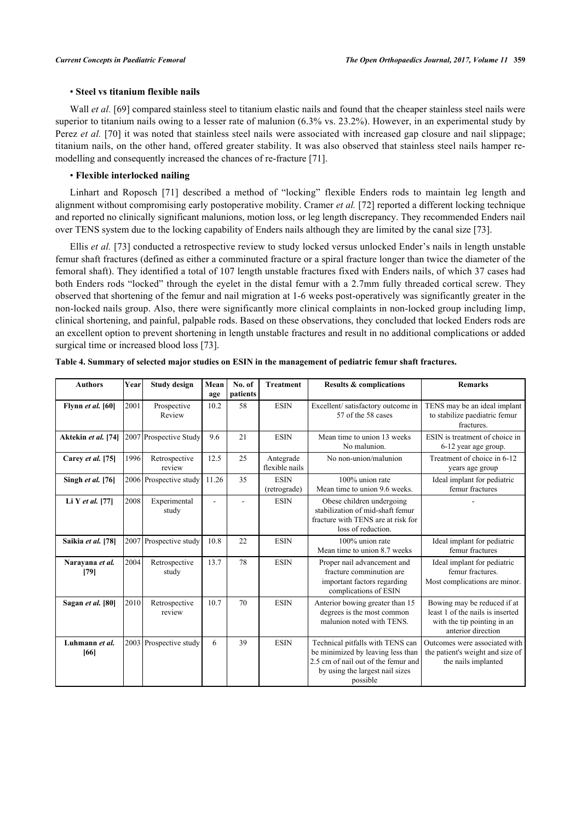# • **Steel vs titanium flexible nails**

Wall *et al.* [[69\]](#page-13-9) compared stainless steel to titanium elastic nails and found that the cheaper stainless steel nails were superior to titanium nails owing to a lesser rate of malunion (6.3% vs. 23.2%). However, in an experimental study by Perez *et al.* [[70\]](#page-13-10) it was noted that stainless steel nails were associated with increased gap closure and nail slippage; titanium nails, on the other hand, offered greater stability. It was also observed that stainless steel nails hamper remodelling and consequently increased the chances of re-fracture [[71\]](#page-13-11).

# • **Flexible interlocked nailing**

Linhart and Roposch [\[71\]](#page-13-11) described a method of "locking" flexible Enders rods to maintain leg length and alignment without compromising early postoperative mobility. Cramer *et al.* [[72\]](#page-13-12) reported a different locking technique and reported no clinically significant malunions, motion loss, or leg length discrepancy. They recommended Enders nail over TENS system due to the locking capability of Enders nails although they are limited by the canal size [[73\]](#page-13-13).

Ellis *et al.* [\[73](#page-13-13)] conducted a retrospective review to study locked versus unlocked Ender's nails in length unstable femur shaft fractures (defined as either a comminuted fracture or a spiral fracture longer than twice the diameter of the femoral shaft). They identified a total of 107 length unstable fractures fixed with Enders nails, of which 37 cases had both Enders rods "locked" through the eyelet in the distal femur with a 2.7mm fully threaded cortical screw. They observed that shortening of the femur and nail migration at 1-6 weeks post-operatively was significantly greater in the non-locked nails group. Also, there were significantly more clinical complaints in non-locked group including limp, clinical shortening, and painful, palpable rods. Based on these observations, they concluded that locked Enders rods are an excellent option to prevent shortening in length unstable fractures and result in no additional complications or added surgical time or increased blood loss [[73\]](#page-13-13).

| <b>Authors</b>          | Year | <b>Study design</b>     | Mean<br>age | No. of<br>patients | <b>Treatment</b>            | <b>Results &amp; complications</b>                                                                                                                          | <b>Remarks</b>                                                                                                       |
|-------------------------|------|-------------------------|-------------|--------------------|-----------------------------|-------------------------------------------------------------------------------------------------------------------------------------------------------------|----------------------------------------------------------------------------------------------------------------------|
| Flynn et al. [60]       | 2001 | Prospective<br>Review   | 10.2        | 58                 | <b>ESIN</b>                 | Excellent/satisfactory outcome in<br>57 of the 58 cases                                                                                                     | TENS may be an ideal implant<br>to stabilize paediatric femur<br>fractures.                                          |
| Aktekin et al. [74]     |      | 2007 Prospective Study  | 9.6         | 21                 | <b>ESIN</b>                 | Mean time to union 13 weeks<br>No malunion.                                                                                                                 | ESIN is treatment of choice in<br>6-12 year age group.                                                               |
| Carey et al. [75]       | 1996 | Retrospective<br>review | 12.5        | 25                 | Antegrade<br>flexible nails | No non-union/malunion                                                                                                                                       | Treatment of choice in 6-12<br>years age group                                                                       |
| Singh et al. [76]       |      | 2006 Prospective study  | 11.26       | 35                 | <b>ESIN</b><br>(retrograde) | 100% union rate<br>Mean time to union 9.6 weeks.                                                                                                            | Ideal implant for pediatric<br>femur fractures                                                                       |
| Li Y et al. $[77]$      | 2008 | Experimental<br>study   | ÷           |                    | <b>ESIN</b>                 | Obese children undergoing<br>stabilization of mid-shaft femur<br>fracture with TENS are at risk for<br>loss of reduction.                                   |                                                                                                                      |
| Saikia et al. [78]      |      | 2007 Prospective study  | 10.8        | 22                 | <b>ESIN</b>                 | 100% union rate<br>Mean time to union 8.7 weeks                                                                                                             | Ideal implant for pediatric<br>femur fractures                                                                       |
| Narayana et al.<br>[79] | 2004 | Retrospective<br>study  | 13.7        | 78                 | <b>ESIN</b>                 | Proper nail advancement and<br>fracture comminution are<br>important factors regarding<br>complications of ESIN                                             | Ideal implant for pediatric<br>femur fractures.<br>Most complications are minor.                                     |
| Sagan et al. [80]       | 2010 | Retrospective<br>review | 10.7        | 70                 | <b>ESIN</b>                 | Anterior bowing greater than 15<br>degrees is the most common<br>malunion noted with TENS.                                                                  | Bowing may be reduced if at<br>least 1 of the nails is inserted<br>with the tip pointing in an<br>anterior direction |
| Luhmann et al.<br>[66]  |      | 2003 Prospective study  | 6           | 39                 | <b>ESIN</b>                 | Technical pitfalls with TENS can<br>be minimized by leaving less than<br>2.5 cm of nail out of the femur and<br>by using the largest nail sizes<br>possible | Outcomes were associated with<br>the patient's weight and size of<br>the nails implanted                             |

<span id="page-6-0"></span>**Table 4. Summary of selected major studies on ESIN in the management of pediatric femur shaft fractures.**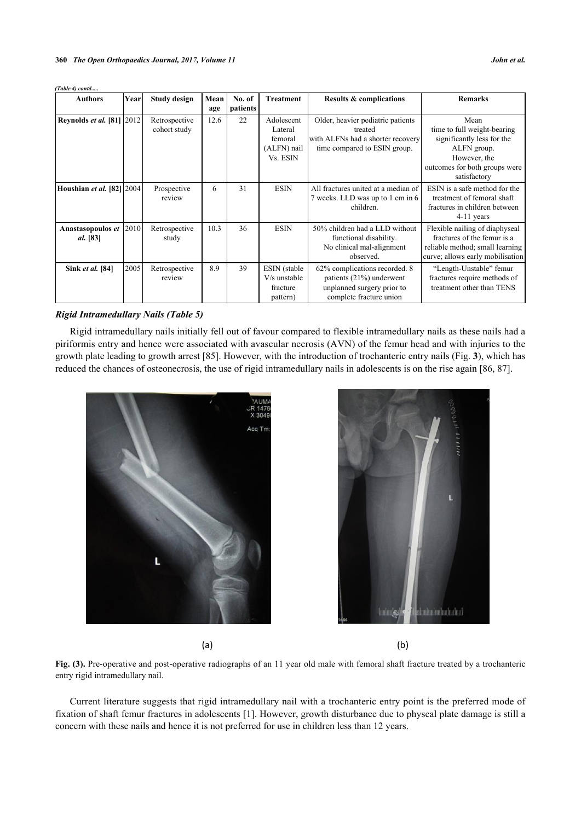| (Table 4) contd                           |      |                               |             |                    |                                                             |                                                                                                                    |                                                                                                                                                   |
|-------------------------------------------|------|-------------------------------|-------------|--------------------|-------------------------------------------------------------|--------------------------------------------------------------------------------------------------------------------|---------------------------------------------------------------------------------------------------------------------------------------------------|
| <b>Authors</b>                            | Year | Study design                  | Mean<br>age | No. of<br>patients | <b>Treatment</b>                                            | <b>Results &amp; complications</b>                                                                                 | <b>Remarks</b>                                                                                                                                    |
| <b>Reynolds et al. [81] 2012</b>          |      | Retrospective<br>cohort study | 12.6        | 22                 | Adolescent<br>Lateral<br>femoral<br>(ALFN) nail<br>Vs. ESIN | Older, heavier pediatric patients<br>treated<br>with ALFNs had a shorter recovery<br>time compared to ESIN group.  | Mean<br>time to full weight-bearing<br>significantly less for the<br>ALFN group.<br>However, the<br>outcomes for both groups were<br>satisfactory |
| Houshian et al. [82] 2004                 |      | Prospective<br>review         | 6           | 31                 | <b>ESIN</b>                                                 | All fractures united at a median of<br>7 weeks. LLD was up to 1 cm in 6<br>children.                               | ESIN is a safe method for the<br>treatment of femoral shaft<br>fractures in children between<br>$4-11$ years                                      |
| Anastasopoulos et 2010<br><i>al.</i> [83] |      | Retrospective<br>study        | 10.3        | 36                 | <b>ESIN</b>                                                 | 50% children had a LLD without<br>functional disability.<br>No clinical mal-alignment<br>observed.                 | Flexible nailing of diaphyseal<br>fractures of the femur is a<br>reliable method; small learning<br>curve; allows early mobilisation              |
| Sink et al. [84]                          | 2005 | Retrospective<br>review       | 8.9         | 39                 | ESIN (stable)<br>V/s unstable<br>fracture<br>pattern)       | 62% complications recorded. 8<br>patients (21%) underwent<br>unplanned surgery prior to<br>complete fracture union | "Length-Unstable" femur<br>fractures require methods of<br>treatment other than TENS                                                              |

# *Rigid Intramedullary Nails (Table [5](#page-8-0))*

Rigid intramedullary nails initially fell out of favour compared to flexible intramedullary nails as these nails had a piriformis entry and hence were associated with avascular necrosis (AVN) of the femur head and with injuries to the growth plate leading to growth arrest [[85\]](#page-14-5). However, with the introduction of trochanteric entry nails (Fig. **[3](#page-7-0)**), which has reduced the chances of osteonecrosis, the use of rigid intramedullary nails in adolescents is on the rise again [[86,](#page-14-6) [87\]](#page-14-7).

<span id="page-7-0"></span>



 $(a)$  (b)

**Fig. (3).** Pre-operative and post-operative radiographs of an 11 year old male with femoral shaft fracture treated by a trochanteric entry rigid intramedullary nail.

Current literature suggests that rigid intramedullary nail with a trochanteric entry point is the preferred mode of fixation of shaft femur fractures in adolescents [\[1\]](#page-10-0). However, growth disturbance due to physeal plate damage is still a concern with these nails and hence it is not preferred for use in children less than 12 years.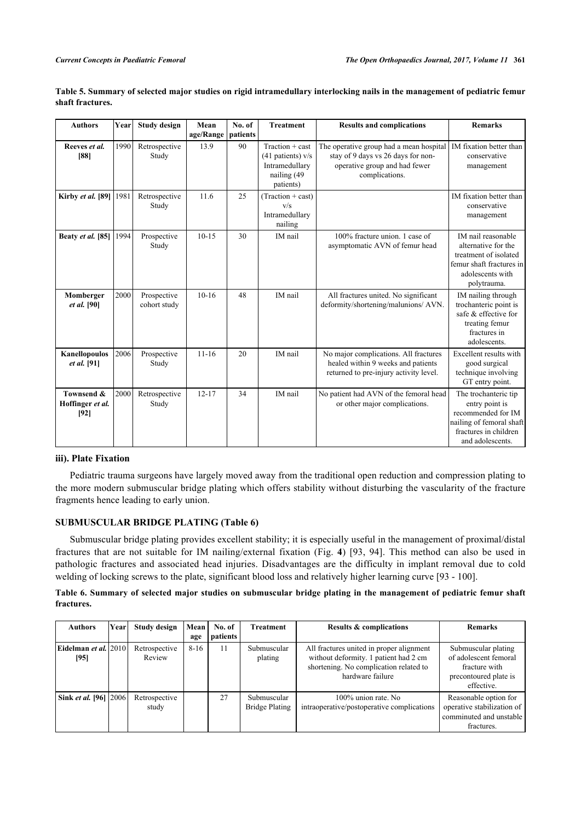| <b>Authors</b>                         | Year | <b>Study design</b>         | Mean<br>age/Range | No. of<br>patients | <b>Treatment</b>                                                                   | <b>Results and complications</b>                                                                                                 | <b>Remarks</b>                                                                                                                        |
|----------------------------------------|------|-----------------------------|-------------------|--------------------|------------------------------------------------------------------------------------|----------------------------------------------------------------------------------------------------------------------------------|---------------------------------------------------------------------------------------------------------------------------------------|
| Reeves et al.<br>[88]                  | 1990 | Retrospective<br>Study      | 13.9              | 90                 | Traction + cast<br>(41 patients) v/s<br>Intramedullary<br>nailing (49<br>patients) | The operative group had a mean hospital<br>stay of 9 days vs 26 days for non-<br>operative group and had fewer<br>complications. | IM fixation better than<br>conservative<br>management                                                                                 |
| Kirby et al. [89]                      | 1981 | Retrospective<br>Study      | 11.6              | 25                 | (Traction + cast)<br>V/S<br>Intramedullary<br>nailing                              |                                                                                                                                  | IM fixation better than<br>conservative<br>management                                                                                 |
| Beaty et al. [85]                      | 1994 | Prospective<br>Study        | $10 - 15$         | 30                 | IM nail                                                                            | 100% fracture union. 1 case of<br>asymptomatic AVN of femur head                                                                 | IM nail reasonable<br>alternative for the<br>treatment of isolated<br>femur shaft fractures in<br>adolescents with<br>polytrauma.     |
| Momberger<br><i>et al.</i> [90]        | 2000 | Prospective<br>cohort study | $10-16$           | 48                 | IM nail                                                                            | All fractures united. No significant<br>deformity/shortening/malunions/ AVN.                                                     | IM nailing through<br>trochanteric point is<br>safe & effective for<br>treating femur<br>fractures in<br>adolescents.                 |
| Kanellopoulos<br><i>et al.</i> [91]    | 2006 | Prospective<br>Study        | $11 - 16$         | 20                 | IM nail                                                                            | No major complications. All fractures<br>healed within 9 weeks and patients<br>returned to pre-injury activity level.            | Excellent results with<br>good surgical<br>technique involving<br>GT entry point.                                                     |
| Townsend &<br>Hoffinger et al.<br>[92] | 2000 | Retrospective<br>Study      | $12 - 17$         | 34                 | IM nail                                                                            | No patient had AVN of the femoral head<br>or other major complications.                                                          | The trochanteric tip<br>entry point is<br>recommended for IM<br>nailing of femoral shaft<br>fractures in children<br>and adolescents. |

<span id="page-8-0"></span>**Table 5. Summary of selected major studies on rigid intramedullary interlocking nails in the management of pediatric femur shaft fractures.**

#### **iii). Plate Fixation**

Pediatric trauma surgeons have largely moved away from the traditional open reduction and compression plating to the more modern submuscular bridge plating which offers stability without disturbing the vascularity of the fracture fragments hence leading to early union.

# **SUBMUSCULAR BRIDGE PLATING (Table [6\)](#page-8-1)**

Submuscular bridge plating provides excellent stability; it is especially useful in the management of proximal/distal fractures that are not suitable for IM nailing/external fixation (Fig.**4**)[[93](#page-14-13), [94\]](#page-14-14). This method can also be used in pathologic fractures and associated head injuries. Disadvantages are the difficulty in implant removal due to cold welding of locking screws to the plate, significant blood loss and relatively higher learning curve [[93](#page-14-13) - [100\]](#page-15-0).

# <span id="page-8-1"></span>**Table 6. Summary of selected major studies on submuscular bridge plating in the management of pediatric femur shaft fractures.**

| <b>Authors</b>                            | Yearl | Study design            | Mean<br>age | No. of<br>patients | <b>Treatment</b>              | <b>Results &amp; complications</b>                                                                                                              | <b>Remarks</b>                                                                                       |
|-------------------------------------------|-------|-------------------------|-------------|--------------------|-------------------------------|-------------------------------------------------------------------------------------------------------------------------------------------------|------------------------------------------------------------------------------------------------------|
| Eidelman <i>et al</i> .   2010   <br>[95] |       | Retrospective<br>Review | $8-16$      | 11                 | Submuscular<br>plating        | All fractures united in proper alignment<br>without deformity. 1 patient had 2 cm<br>shortening. No complication related to<br>hardware failure | Submuscular plating<br>of adolescent femoral<br>fracture with<br>precontoured plate is<br>effective. |
| Sink et al. [96] [2006]                   |       | Retrospective<br>study  |             | 27                 | Submuscular<br>Bridge Plating | 100% union rate. No<br>intraoperative/postoperative complications                                                                               | Reasonable option for<br>operative stabilization of<br>comminuted and unstable<br>fractures.         |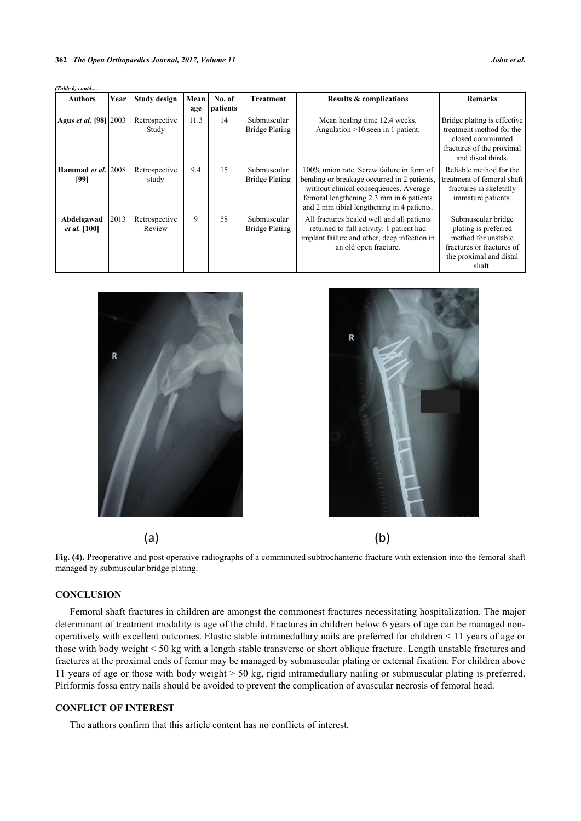| (Table 6) contd                    |      |                         |             |                           |                                      |                                                                                                                                                                                                                              |                                                                                                                                     |
|------------------------------------|------|-------------------------|-------------|---------------------------|--------------------------------------|------------------------------------------------------------------------------------------------------------------------------------------------------------------------------------------------------------------------------|-------------------------------------------------------------------------------------------------------------------------------------|
| <b>Authors</b>                     | Year | <b>Study design</b>     | Mean<br>age | No. of<br><i>patients</i> | Treatment                            | <b>Results &amp; complications</b>                                                                                                                                                                                           | <b>Remarks</b>                                                                                                                      |
| Agus et al. [98] 2003              |      | Retrospective<br>Study  | 11.3        | 14                        | Submuscular<br><b>Bridge Plating</b> | Mean healing time 12.4 weeks.<br>Angulation $>10$ seen in 1 patient.                                                                                                                                                         | Bridge plating is effective.<br>treatment method for the<br>closed comminuted<br>fractures of the proximal<br>and distal thirds.    |
| Hammad <i>et al.</i> 12008<br>[99] |      | Retrospective<br>study  | 9.4         | 15                        | Submuscular<br><b>Bridge Plating</b> | 100% union rate. Screw failure in form of<br>bending or breakage occurred in 2 patients,<br>without clinical consequences. Average<br>femoral lengthening 2.3 mm in 6 patients<br>and 2 mm tibial lengthening in 4 patients. | Reliable method for the<br>treatment of femoral shaft<br>fractures in skeletally<br>immature patients.                              |
| Abdelgawad<br><i>et al.</i> [100]  | 2013 | Retrospective<br>Review | 9           | 58                        | Submuscular<br><b>Bridge Plating</b> | All fractures healed well and all patients<br>returned to full activity. 1 patient had<br>implant failure and other, deep infection in<br>an old open fracture.                                                              | Submuscular bridge<br>plating is preferred<br>method for unstable<br>fractures or fractures of<br>the proximal and distal<br>shaft. |



<span id="page-9-0"></span>

Fig. (4). Preoperative and post operative radiographs of a comminuted subtrochanteric fracture with extension into the femoral shaft managed by submuscular bridge plating.

# **CONCLUSION**

Femoral shaft fractures in children are amongst the commonest fractures necessitating hospitalization. The major determinant of treatment modality is age of the child. Fractures in children below 6 years of age can be managed nonoperatively with excellent outcomes. Elastic stable intramedullary nails are preferred for children < 11 years of age or those with body weight < 50 kg with a length stable transverse or short oblique fracture. Length unstable fractures and fractures at the proximal ends of femur may be managed by submuscular plating or external fixation. For children above 11 years of age or those with body weight > 50 kg, rigid intramedullary nailing or submuscular plating is preferred. Piriformis fossa entry nails should be avoided to prevent the complication of avascular necrosis of femoral head.

# **CONFLICT OF INTEREST**

The authors confirm that this article content has no conflicts of interest.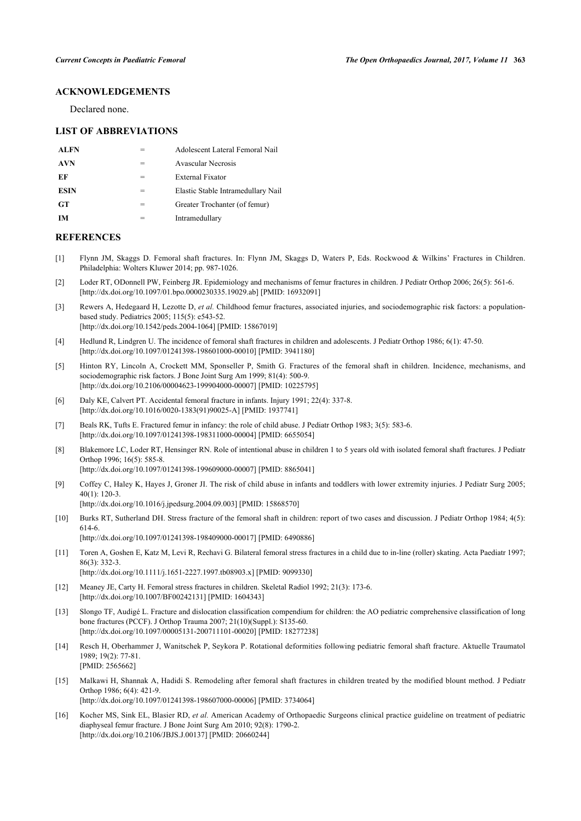# **ACKNOWLEDGEMENTS**

Declared none.

#### **LIST OF ABBREVIATIONS**

| <b>ALFN</b> |   | Adolescent Lateral Femoral Nail    |
|-------------|---|------------------------------------|
| <b>AVN</b>  | = | Avascular Necrosis                 |
| EF          | = | <b>External Fixator</b>            |
| <b>ESIN</b> | = | Elastic Stable Intramedullary Nail |
| <b>GT</b>   | = | Greater Trochanter (of femur)      |
| IМ          |   | Intramedullary                     |

#### **REFERENCES**

- <span id="page-10-0"></span>[1] Flynn JM, Skaggs D. Femoral shaft fractures. In: Flynn JM, Skaggs D, Waters P, Eds. Rockwood & Wilkins' Fractures in Children. Philadelphia: Wolters Kluwer 2014; pp. 987-1026.
- <span id="page-10-1"></span>[2] Loder RT, ODonnell PW, Feinberg JR. Epidemiology and mechanisms of femur fractures in children. J Pediatr Orthop 2006; 26(5): 561-6. [\[http://dx.doi.org/10.1097/01.bpo.0000230335.19029.ab](http://dx.doi.org/10.1097/01.bpo.0000230335.19029.ab)] [PMID: [16932091\]](http://www.ncbi.nlm.nih.gov/pubmed/16932091)
- <span id="page-10-2"></span>[3] Rewers A, Hedegaard H, Lezotte D, *et al.* Childhood femur fractures, associated injuries, and sociodemographic risk factors: a populationbased study. Pediatrics 2005; 115(5): e543-52. [\[http://dx.doi.org/10.1542/peds.2004-1064](http://dx.doi.org/10.1542/peds.2004-1064)] [PMID: [15867019\]](http://www.ncbi.nlm.nih.gov/pubmed/15867019)
- <span id="page-10-4"></span>[4] Hedlund R, Lindgren U. The incidence of femoral shaft fractures in children and adolescents. J Pediatr Orthop 1986; 6(1): 47-50. [\[http://dx.doi.org/10.1097/01241398-198601000-00010](http://dx.doi.org/10.1097/01241398-198601000-00010)] [PMID: [3941180\]](http://www.ncbi.nlm.nih.gov/pubmed/3941180)
- <span id="page-10-3"></span>[5] Hinton RY, Lincoln A, Crockett MM, Sponseller P, Smith G. Fractures of the femoral shaft in children. Incidence, mechanisms, and sociodemographic risk factors. J Bone Joint Surg Am 1999; 81(4): 500-9. [\[http://dx.doi.org/10.2106/00004623-199904000-00007](http://dx.doi.org/10.2106/00004623-199904000-00007)] [PMID: [10225795\]](http://www.ncbi.nlm.nih.gov/pubmed/10225795)
- <span id="page-10-5"></span>[6] Daly KE, Calvert PT. Accidental femoral fracture in infants. Injury 1991; 22(4): 337-8. [\[http://dx.doi.org/10.1016/0020-1383\(91\)90025-A](http://dx.doi.org/10.1016/0020-1383(91)90025-A)] [PMID: [1937741\]](http://www.ncbi.nlm.nih.gov/pubmed/1937741)
- <span id="page-10-6"></span>[7] Beals RK, Tufts E. Fractured femur in infancy: the role of child abuse. J Pediatr Orthop 1983; 3(5): 583-6. [\[http://dx.doi.org/10.1097/01241398-198311000-00004](http://dx.doi.org/10.1097/01241398-198311000-00004)] [PMID: [6655054\]](http://www.ncbi.nlm.nih.gov/pubmed/6655054)
- <span id="page-10-7"></span>[8] Blakemore LC, Loder RT, Hensinger RN. Role of intentional abuse in children 1 to 5 years old with isolated femoral shaft fractures. J Pediatr Orthop 1996; 16(5): 585-8. [\[http://dx.doi.org/10.1097/01241398-199609000-00007](http://dx.doi.org/10.1097/01241398-199609000-00007)] [PMID: [8865041\]](http://www.ncbi.nlm.nih.gov/pubmed/8865041)
- <span id="page-10-8"></span>[9] Coffey C, Haley K, Hayes J, Groner JI. The risk of child abuse in infants and toddlers with lower extremity injuries. J Pediatr Surg 2005; 40(1): 120-3. [\[http://dx.doi.org/10.1016/j.jpedsurg.2004.09.003\]](http://dx.doi.org/10.1016/j.jpedsurg.2004.09.003) [PMID: [15868570](http://www.ncbi.nlm.nih.gov/pubmed/15868570)]
- <span id="page-10-9"></span>[10] Burks RT, Sutherland DH. Stress fracture of the femoral shaft in children: report of two cases and discussion. J Pediatr Orthop 1984; 4(5): 614-6. [\[http://dx.doi.org/10.1097/01241398-198409000-00017](http://dx.doi.org/10.1097/01241398-198409000-00017)] [PMID: [6490886\]](http://www.ncbi.nlm.nih.gov/pubmed/6490886)
- [11] Toren A, Goshen E, Katz M, Levi R, Rechavi G. Bilateral femoral stress fractures in a child due to in-line (roller) skating. Acta Paediatr 1997; 86(3): 332-3. [\[http://dx.doi.org/10.1111/j.1651-2227.1997.tb08903.x\]](http://dx.doi.org/10.1111/j.1651-2227.1997.tb08903.x) [PMID: [9099330](http://www.ncbi.nlm.nih.gov/pubmed/9099330)]
- <span id="page-10-10"></span>[12] Meaney JE, Carty H. Femoral stress fractures in children. Skeletal Radiol 1992; 21(3): 173-6. [\[http://dx.doi.org/10.1007/BF00242131\]](http://dx.doi.org/10.1007/BF00242131) [PMID: [1604343](http://www.ncbi.nlm.nih.gov/pubmed/1604343)]
- <span id="page-10-11"></span>[13] Slongo TF, Audigé L. Fracture and dislocation classification compendium for children: the AO pediatric comprehensive classification of long bone fractures (PCCF). J Orthop Trauma 2007; 21(10)(Suppl.): S135-60. [\[http://dx.doi.org/10.1097/00005131-200711101-00020](http://dx.doi.org/10.1097/00005131-200711101-00020)] [PMID: [18277238\]](http://www.ncbi.nlm.nih.gov/pubmed/18277238)
- <span id="page-10-12"></span>[14] Resch H, Oberhammer J, Wanitschek P, Seykora P. Rotational deformities following pediatric femoral shaft fracture. Aktuelle Traumatol 1989; 19(2): 77-81. [PMID: [2565662\]](http://www.ncbi.nlm.nih.gov/pubmed/2565662)
- <span id="page-10-13"></span>[15] Malkawi H, Shannak A, Hadidi S. Remodeling after femoral shaft fractures in children treated by the modified blount method. J Pediatr Orthop 1986; 6(4): 421-9.
	- [\[http://dx.doi.org/10.1097/01241398-198607000-00006](http://dx.doi.org/10.1097/01241398-198607000-00006)] [PMID: [3734064\]](http://www.ncbi.nlm.nih.gov/pubmed/3734064)
- <span id="page-10-14"></span>[16] Kocher MS, Sink EL, Blasier RD, *et al.* American Academy of Orthopaedic Surgeons clinical practice guideline on treatment of pediatric diaphyseal femur fracture. J Bone Joint Surg Am 2010; 92(8): 1790-2. [\[http://dx.doi.org/10.2106/JBJS.J.00137\]](http://dx.doi.org/10.2106/JBJS.J.00137) [PMID: [20660244](http://www.ncbi.nlm.nih.gov/pubmed/20660244)]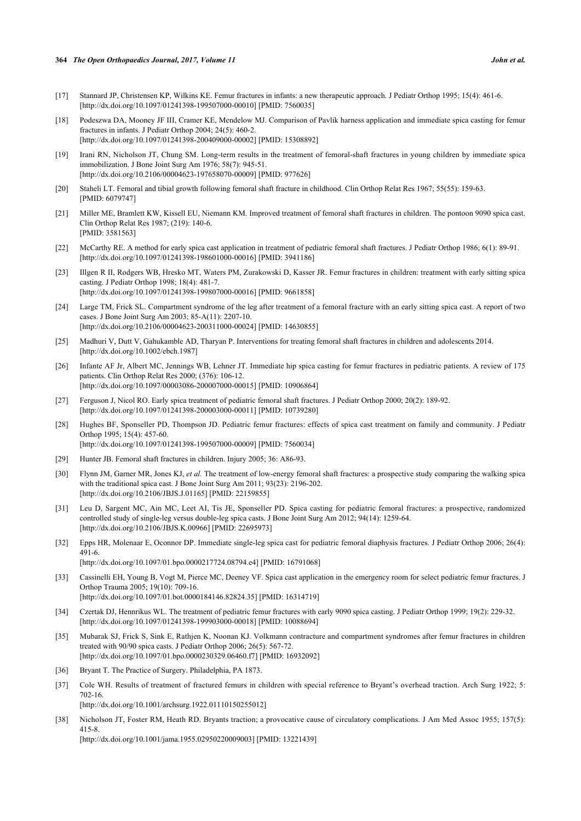#### **364** *The Open Orthopaedics Journal, 2017, Volume 11 John et al.*

- <span id="page-11-0"></span>[17] Stannard JP, Christensen KP, Wilkins KE. Femur fractures in infants: a new therapeutic approach. J Pediatr Orthop 1995; 15(4): 461-6. [\[http://dx.doi.org/10.1097/01241398-199507000-00010](http://dx.doi.org/10.1097/01241398-199507000-00010)] [PMID: [7560035\]](http://www.ncbi.nlm.nih.gov/pubmed/7560035)
- <span id="page-11-1"></span>[18] Podeszwa DA, Mooney JF III, Cramer KE, Mendelow MJ. Comparison of Pavlik harness application and immediate spica casting for femur fractures in infants. J Pediatr Orthop 2004; 24(5): 460-2. [\[http://dx.doi.org/10.1097/01241398-200409000-00002](http://dx.doi.org/10.1097/01241398-200409000-00002)] [PMID: [15308892\]](http://www.ncbi.nlm.nih.gov/pubmed/15308892)
- <span id="page-11-2"></span>[19] Irani RN, Nicholson JT, Chung SM. Long-term results in the treatment of femoral-shaft fractures in young children by immediate spica immobilization. J Bone Joint Surg Am 1976; 58(7): 945-51. [\[http://dx.doi.org/10.2106/00004623-197658070-00009](http://dx.doi.org/10.2106/00004623-197658070-00009)] [PMID: [977626\]](http://www.ncbi.nlm.nih.gov/pubmed/977626)
- <span id="page-11-3"></span>[20] Staheli LT. Femoral and tibial growth following femoral shaft fracture in childhood. Clin Orthop Relat Res 1967; 55(55): 159-63. [PMID: [6079747\]](http://www.ncbi.nlm.nih.gov/pubmed/6079747)
- <span id="page-11-4"></span>[21] Miller ME, Bramlett KW, Kissell EU, Niemann KM. Improved treatment of femoral shaft fractures in children. The pontoon 9090 spica cast. Clin Orthop Relat Res 1987; (219): 140-6. [PMID: [3581563\]](http://www.ncbi.nlm.nih.gov/pubmed/3581563)
- <span id="page-11-5"></span>[22] McCarthy RE. A method for early spica cast application in treatment of pediatric femoral shaft fractures. J Pediatr Orthop 1986; 6(1): 89-91. [\[http://dx.doi.org/10.1097/01241398-198601000-00016](http://dx.doi.org/10.1097/01241398-198601000-00016)] [PMID: [3941186\]](http://www.ncbi.nlm.nih.gov/pubmed/3941186)
- <span id="page-11-6"></span>[23] Illgen R II, Rodgers WB, Hresko MT, Waters PM, Zurakowski D, Kasser JR. Femur fractures in children: treatment with early sitting spica casting. J Pediatr Orthop 1998; 18(4): 481-7. [\[http://dx.doi.org/10.1097/01241398-199807000-00016](http://dx.doi.org/10.1097/01241398-199807000-00016)] [PMID: [9661858\]](http://www.ncbi.nlm.nih.gov/pubmed/9661858)
- <span id="page-11-7"></span>[24] Large TM, Frick SL. Compartment syndrome of the leg after treatment of a femoral fracture with an early sitting spica cast. A report of two cases. J Bone Joint Surg Am 2003; 85-A(11): 2207-10. [\[http://dx.doi.org/10.2106/00004623-200311000-00024](http://dx.doi.org/10.2106/00004623-200311000-00024)] [PMID: [14630855\]](http://www.ncbi.nlm.nih.gov/pubmed/14630855)
- <span id="page-11-8"></span>[25] Madhuri V, Dutt V, Gahukamble AD, Tharyan P. Interventions for treating femoral shaft fractures in children and adolescents 2014. [\[http://dx.doi.org/10.1002/ebch.1987\]](http://dx.doi.org/10.1002/ebch.1987)
- <span id="page-11-9"></span>[26] Infante AF Jr, Albert MC, Jennings WB, Lehner JT. Immediate hip spica casting for femur fractures in pediatric patients. A review of 175 patients. Clin Orthop Relat Res 2000; (376): 106-12. [\[http://dx.doi.org/10.1097/00003086-200007000-00015](http://dx.doi.org/10.1097/00003086-200007000-00015)] [PMID: [10906864\]](http://www.ncbi.nlm.nih.gov/pubmed/10906864)
- <span id="page-11-10"></span>[27] Ferguson J, Nicol RO. Early spica treatment of pediatric femoral shaft fractures. J Pediatr Orthop 2000; 20(2): 189-92. [\[http://dx.doi.org/10.1097/01241398-200003000-00011](http://dx.doi.org/10.1097/01241398-200003000-00011)] [PMID: [10739280\]](http://www.ncbi.nlm.nih.gov/pubmed/10739280)
- <span id="page-11-11"></span>[28] Hughes BF, Sponseller PD, Thompson JD. Pediatric femur fractures: effects of spica cast treatment on family and community. J Pediatr Orthop 1995; 15(4): 457-60. [\[http://dx.doi.org/10.1097/01241398-199507000-00009](http://dx.doi.org/10.1097/01241398-199507000-00009)] [PMID: [7560034\]](http://www.ncbi.nlm.nih.gov/pubmed/7560034)
- <span id="page-11-12"></span>[29] Hunter JB. Femoral shaft fractures in children. Injury 2005; 36: A86-93.
- <span id="page-11-13"></span>[30] Flynn JM, Garner MR, Jones KJ, *et al.* The treatment of low-energy femoral shaft fractures: a prospective study comparing the walking spica with the traditional spica cast. J Bone Joint Surg Am 2011; 93(23): 2196-202. [\[http://dx.doi.org/10.2106/JBJS.J.01165\]](http://dx.doi.org/10.2106/JBJS.J.01165) [PMID: [22159855](http://www.ncbi.nlm.nih.gov/pubmed/22159855)]
- <span id="page-11-14"></span>[31] Leu D, Sargent MC, Ain MC, Leet AI, Tis JE, Sponseller PD. Spica casting for pediatric femoral fractures: a prospective, randomized controlled study of single-leg versus double-leg spica casts. J Bone Joint Surg Am 2012; 94(14): 1259-64. [\[http://dx.doi.org/10.2106/JBJS.K.00966\]](http://dx.doi.org/10.2106/JBJS.K.00966) [PMID: [22695973](http://www.ncbi.nlm.nih.gov/pubmed/22695973)]
- <span id="page-11-16"></span>[32] Epps HR, Molenaar E, Oconnor DP. Immediate single-leg spica cast for pediatric femoral diaphysis fractures. J Pediatr Orthop 2006; 26(4): 491-6.

[\[http://dx.doi.org/10.1097/01.bpo.0000217724.08794.e4](http://dx.doi.org/10.1097/01.bpo.0000217724.08794.e4)] [PMID: [16791068\]](http://www.ncbi.nlm.nih.gov/pubmed/16791068)

- <span id="page-11-17"></span>[33] Cassinelli EH, Young B, Vogt M, Pierce MC, Deeney VF. Spica cast application in the emergency room for select pediatric femur fractures. J Orthop Trauma 2005; 19(10): 709-16. [\[http://dx.doi.org/10.1097/01.bot.0000184146.82824.35](http://dx.doi.org/10.1097/01.bot.0000184146.82824.35)] [PMID: [16314719\]](http://www.ncbi.nlm.nih.gov/pubmed/16314719)
- <span id="page-11-18"></span>[34] Czertak DJ, Hennrikus WL. The treatment of pediatric femur fractures with early 9090 spica casting. J Pediatr Orthop 1999; 19(2): 229-32. [\[http://dx.doi.org/10.1097/01241398-199903000-00018](http://dx.doi.org/10.1097/01241398-199903000-00018)] [PMID: [10088694\]](http://www.ncbi.nlm.nih.gov/pubmed/10088694)
- <span id="page-11-15"></span>[35] Mubarak SJ, Frick S, Sink E, Rathjen K, Noonan KJ. Volkmann contracture and compartment syndromes after femur fractures in children treated with 90/90 spica casts. J Pediatr Orthop 2006; 26(5): 567-72. [\[http://dx.doi.org/10.1097/01.bpo.0000230329.06460.f7](http://dx.doi.org/10.1097/01.bpo.0000230329.06460.f7)] [PMID: [16932092](http://www.ncbi.nlm.nih.gov/pubmed/16932092)]
- <span id="page-11-19"></span>[36] Bryant T. The Practice of Surgery. Philadelphia, PA 1873.
- <span id="page-11-20"></span>[37] Cole WH. Results of treatment of fractured femurs in children with special reference to Bryant's overhead traction. Arch Surg 1922; 5: 702-16.

[\[http://dx.doi.org/10.1001/archsurg.1922.01110150255012](http://dx.doi.org/10.1001/archsurg.1922.01110150255012)]

<span id="page-11-21"></span>[38] Nicholson JT, Foster RM, Heath RD. Bryants traction; a provocative cause of circulatory complications. J Am Med Assoc 1955; 157(5): 415-8.

[\[http://dx.doi.org/10.1001/jama.1955.02950220009003](http://dx.doi.org/10.1001/jama.1955.02950220009003)] [PMID: [13221439\]](http://www.ncbi.nlm.nih.gov/pubmed/13221439)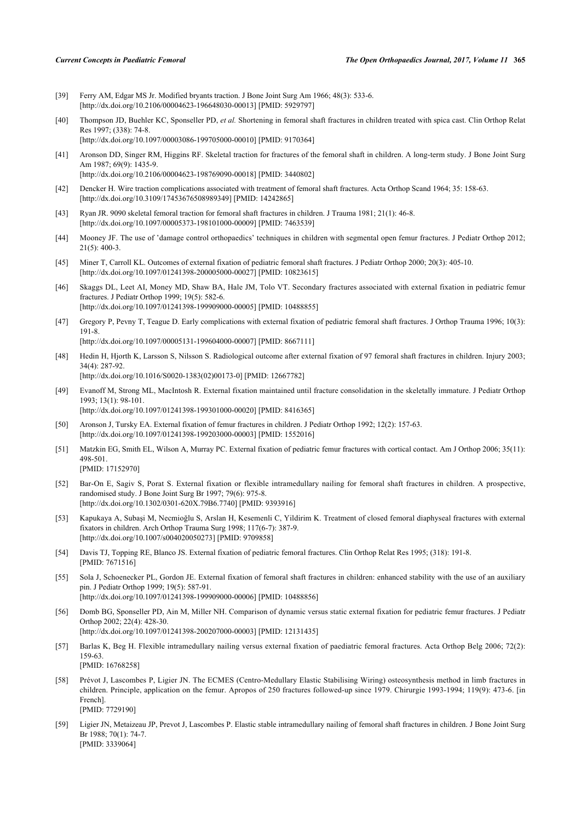- <span id="page-12-0"></span>[39] Ferry AM, Edgar MS Jr. Modified bryants traction. J Bone Joint Surg Am 1966; 48(3): 533-6. [\[http://dx.doi.org/10.2106/00004623-196648030-00013](http://dx.doi.org/10.2106/00004623-196648030-00013)] [PMID: [5929797\]](http://www.ncbi.nlm.nih.gov/pubmed/5929797)
- <span id="page-12-1"></span>[40] Thompson JD, Buehler KC, Sponseller PD, *et al.* Shortening in femoral shaft fractures in children treated with spica cast. Clin Orthop Relat Res 1997; (338): 74-8.
	- [\[http://dx.doi.org/10.1097/00003086-199705000-00010](http://dx.doi.org/10.1097/00003086-199705000-00010)] [PMID: [9170364\]](http://www.ncbi.nlm.nih.gov/pubmed/9170364)
- <span id="page-12-2"></span>[41] Aronson DD, Singer RM, Higgins RF. Skeletal traction for fractures of the femoral shaft in children. A long-term study. J Bone Joint Surg Am 1987; 69(9): 1435-9. [\[http://dx.doi.org/10.2106/00004623-198769090-00018](http://dx.doi.org/10.2106/00004623-198769090-00018)] [PMID: [3440802\]](http://www.ncbi.nlm.nih.gov/pubmed/3440802)
- [42] Dencker H. Wire traction complications associated with treatment of femoral shaft fractures. Acta Orthop Scand 1964; 35: 158-63. [\[http://dx.doi.org/10.3109/17453676508989349\]](http://dx.doi.org/10.3109/17453676508989349) [PMID: [14242865](http://www.ncbi.nlm.nih.gov/pubmed/14242865)]
- <span id="page-12-3"></span>[43] Ryan JR. 9090 skeletal femoral traction for femoral shaft fractures in children. J Trauma 1981; 21(1): 46-8. [\[http://dx.doi.org/10.1097/00005373-198101000-00009](http://dx.doi.org/10.1097/00005373-198101000-00009)] [PMID: [7463539\]](http://www.ncbi.nlm.nih.gov/pubmed/7463539)
- <span id="page-12-4"></span>[44] Mooney JF. The use of 'damage control orthopaedics' techniques in children with segmental open femur fractures. J Pediatr Orthop 2012; 21(5): 400-3.
- <span id="page-12-5"></span>[45] Miner T, Carroll KL. Outcomes of external fixation of pediatric femoral shaft fractures. J Pediatr Orthop 2000; 20(3): 405-10. [\[http://dx.doi.org/10.1097/01241398-200005000-00027](http://dx.doi.org/10.1097/01241398-200005000-00027)] [PMID: [10823615\]](http://www.ncbi.nlm.nih.gov/pubmed/10823615)
- <span id="page-12-8"></span>[46] Skaggs DL, Leet AI, Money MD, Shaw BA, Hale JM, Tolo VT. Secondary fractures associated with external fixation in pediatric femur fractures. J Pediatr Orthop 1999; 19(5): 582-6. [\[http://dx.doi.org/10.1097/01241398-199909000-00005](http://dx.doi.org/10.1097/01241398-199909000-00005)] [PMID: [10488855\]](http://www.ncbi.nlm.nih.gov/pubmed/10488855)
- <span id="page-12-16"></span>[47] Gregory P, Pevny T, Teague D. Early complications with external fixation of pediatric femoral shaft fractures. J Orthop Trauma 1996; 10(3): 191-8. [\[http://dx.doi.org/10.1097/00005131-199604000-00007](http://dx.doi.org/10.1097/00005131-199604000-00007)] [PMID: [8667111\]](http://www.ncbi.nlm.nih.gov/pubmed/8667111)
- <span id="page-12-6"></span>[48] Hedin H, Hjorth K, Larsson S, Nilsson S. Radiological outcome after external fixation of 97 femoral shaft fractures in children. Injury 2003; 34(4): 287-92. [\[http://dx.doi.org/10.1016/S0020-1383\(02\)00173-0\]](http://dx.doi.org/10.1016/S0020-1383(02)00173-0) [PMID: [12667782](http://www.ncbi.nlm.nih.gov/pubmed/12667782)]
- <span id="page-12-7"></span>[49] Evanoff M, Strong ML, MacIntosh R. External fixation maintained until fracture consolidation in the skeletally immature. J Pediatr Orthop 1993; 13(1): 98-101.
	- [\[http://dx.doi.org/10.1097/01241398-199301000-00020](http://dx.doi.org/10.1097/01241398-199301000-00020)] [PMID: [8416365\]](http://www.ncbi.nlm.nih.gov/pubmed/8416365)
- <span id="page-12-9"></span>[50] Aronson J, Tursky EA. External fixation of femur fractures in children. J Pediatr Orthop 1992; 12(2): 157-63. [\[http://dx.doi.org/10.1097/01241398-199203000-00003](http://dx.doi.org/10.1097/01241398-199203000-00003)] [PMID: [1552016\]](http://www.ncbi.nlm.nih.gov/pubmed/1552016)
- <span id="page-12-10"></span>[51] Matzkin EG, Smith EL, Wilson A, Murray PC. External fixation of pediatric femur fractures with cortical contact. Am J Orthop 2006; 35(11): 498-501. [PMID: [17152970\]](http://www.ncbi.nlm.nih.gov/pubmed/17152970)
- <span id="page-12-11"></span>[52] Bar-On E, Sagiv S, Porat S. External fixation or flexible intramedullary nailing for femoral shaft fractures in children. A prospective, randomised study. J Bone Joint Surg Br 1997; 79(6): 975-8. [\[http://dx.doi.org/10.1302/0301-620X.79B6.7740\]](http://dx.doi.org/10.1302/0301-620X.79B6.7740) [PMID: [9393916](http://www.ncbi.nlm.nih.gov/pubmed/9393916)]
- <span id="page-12-12"></span>[53] Kapukaya A, Subaşi M, Necmioğlu S, Arslan H, Kesemenli C, Yildirim K. Treatment of closed femoral diaphyseal fractures with external fixators in children. Arch Orthop Trauma Surg 1998; 117(6-7): 387-9. [\[http://dx.doi.org/10.1007/s004020050273\]](http://dx.doi.org/10.1007/s004020050273) [PMID: [9709858](http://www.ncbi.nlm.nih.gov/pubmed/9709858)]
- <span id="page-12-13"></span>[54] Davis TJ, Topping RE, Blanco JS. External fixation of pediatric femoral fractures. Clin Orthop Relat Res 1995; (318): 191-8. [PMID: [7671516\]](http://www.ncbi.nlm.nih.gov/pubmed/7671516)
- <span id="page-12-14"></span>[55] Sola J, Schoenecker PL, Gordon JE. External fixation of femoral shaft fractures in children: enhanced stability with the use of an auxiliary pin. J Pediatr Orthop 1999; 19(5): 587-91. [\[http://dx.doi.org/10.1097/01241398-199909000-00006](http://dx.doi.org/10.1097/01241398-199909000-00006)] [PMID: [10488856\]](http://www.ncbi.nlm.nih.gov/pubmed/10488856)
- <span id="page-12-15"></span>[56] Domb BG, Sponseller PD, Ain M, Miller NH. Comparison of dynamic versus static external fixation for pediatric femur fractures. J Pediatr Orthop 2002; 22(4): 428-30.
- [\[http://dx.doi.org/10.1097/01241398-200207000-00003](http://dx.doi.org/10.1097/01241398-200207000-00003)] [PMID: [12131435\]](http://www.ncbi.nlm.nih.gov/pubmed/12131435)
- <span id="page-12-17"></span>[57] Barlas K, Beg H. Flexible intramedullary nailing versus external fixation of paediatric femoral fractures. Acta Orthop Belg 2006; 72(2): 159-63. [PMID: [16768258\]](http://www.ncbi.nlm.nih.gov/pubmed/16768258)
- <span id="page-12-18"></span>[58] Prévot J, Lascombes P, Ligier JN. The ECMES (Centro-Medullary Elastic Stabilising Wiring) osteosynthesis method in limb fractures in children. Principle, application on the femur. Apropos of 250 fractures followed-up since 1979. Chirurgie 1993-1994; 119(9): 473-6. [in French]. [PMID: [7729190\]](http://www.ncbi.nlm.nih.gov/pubmed/7729190)
- <span id="page-12-19"></span>[59] Ligier JN, Metaizeau JP, Prevot J, Lascombes P. Elastic stable intramedullary nailing of femoral shaft fractures in children. J Bone Joint Surg Br 1988; 70(1): 74-7. [PMID: [3339064\]](http://www.ncbi.nlm.nih.gov/pubmed/3339064)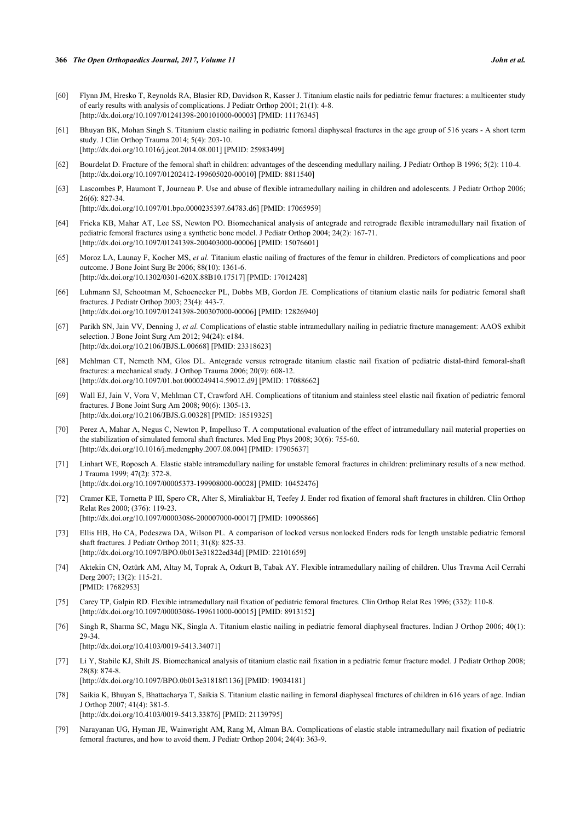- <span id="page-13-0"></span>[60] Flynn JM, Hresko T, Reynolds RA, Blasier RD, Davidson R, Kasser J. Titanium elastic nails for pediatric femur fractures: a multicenter study of early results with analysis of complications. J Pediatr Orthop 2001; 21(1): 4-8. [\[http://dx.doi.org/10.1097/01241398-200101000-00003](http://dx.doi.org/10.1097/01241398-200101000-00003)] [PMID: [11176345\]](http://www.ncbi.nlm.nih.gov/pubmed/11176345)
- <span id="page-13-1"></span>[61] Bhuyan BK, Mohan Singh S. Titanium elastic nailing in pediatric femoral diaphyseal fractures in the age group of 516 years - A short term study. J Clin Orthop Trauma 2014; 5(4): 203-10. [\[http://dx.doi.org/10.1016/j.jcot.2014.08.001](http://dx.doi.org/10.1016/j.jcot.2014.08.001)] [PMID: [25983499\]](http://www.ncbi.nlm.nih.gov/pubmed/25983499)
- <span id="page-13-2"></span>[62] Bourdelat D. Fracture of the femoral shaft in children: advantages of the descending medullary nailing. J Pediatr Orthop B 1996; 5(2): 110-4. [\[http://dx.doi.org/10.1097/01202412-199605020-00010](http://dx.doi.org/10.1097/01202412-199605020-00010)] [PMID: [8811540\]](http://www.ncbi.nlm.nih.gov/pubmed/8811540)
- <span id="page-13-3"></span>[63] Lascombes P, Haumont T, Journeau P. Use and abuse of flexible intramedullary nailing in children and adolescents. J Pediatr Orthop 2006; 26(6): 827-34.

[\[http://dx.doi.org/10.1097/01.bpo.0000235397.64783.d6\]](http://dx.doi.org/10.1097/01.bpo.0000235397.64783.d6) [PMID: [17065959](http://www.ncbi.nlm.nih.gov/pubmed/17065959)]

- <span id="page-13-4"></span>[64] Fricka KB, Mahar AT, Lee SS, Newton PO. Biomechanical analysis of antegrade and retrograde flexible intramedullary nail fixation of pediatric femoral fractures using a synthetic bone model. J Pediatr Orthop 2004; 24(2): 167-71. [\[http://dx.doi.org/10.1097/01241398-200403000-00006](http://dx.doi.org/10.1097/01241398-200403000-00006)] [PMID: [15076601\]](http://www.ncbi.nlm.nih.gov/pubmed/15076601)
- <span id="page-13-6"></span>[65] Moroz LA, Launay F, Kocher MS, *et al.* Titanium elastic nailing of fractures of the femur in children. Predictors of complications and poor outcome. J Bone Joint Surg Br 2006; 88(10): 1361-6. [\[http://dx.doi.org/10.1302/0301-620X.88B10.17517\]](http://dx.doi.org/10.1302/0301-620X.88B10.17517) [PMID: [17012428](http://www.ncbi.nlm.nih.gov/pubmed/17012428)]
- <span id="page-13-5"></span>[66] Luhmann SJ, Schootman M, Schoenecker PL, Dobbs MB, Gordon JE. Complications of titanium elastic nails for pediatric femoral shaft fractures. J Pediatr Orthop 2003; 23(4): 443-7. [\[http://dx.doi.org/10.1097/01241398-200307000-00006](http://dx.doi.org/10.1097/01241398-200307000-00006)] [PMID: [12826940\]](http://www.ncbi.nlm.nih.gov/pubmed/12826940)
- <span id="page-13-7"></span>[67] Parikh SN, Jain VV, Denning J, *et al.* Complications of elastic stable intramedullary nailing in pediatric fracture management: AAOS exhibit selection. J Bone Joint Surg Am 2012; 94(24): e184. [\[http://dx.doi.org/10.2106/JBJS.L.00668\]](http://dx.doi.org/10.2106/JBJS.L.00668) [PMID: [23318623](http://www.ncbi.nlm.nih.gov/pubmed/23318623)]
- <span id="page-13-8"></span>[68] Mehlman CT, Nemeth NM, Glos DL. Antegrade versus retrograde titanium elastic nail fixation of pediatric distal-third femoral-shaft fractures: a mechanical study. J Orthop Trauma 2006; 20(9): 608-12. [\[http://dx.doi.org/10.1097/01.bot.0000249414.59012.d9](http://dx.doi.org/10.1097/01.bot.0000249414.59012.d9)] [PMID: [17088662\]](http://www.ncbi.nlm.nih.gov/pubmed/17088662)
- <span id="page-13-9"></span>[69] Wall EJ, Jain V, Vora V, Mehlman CT, Crawford AH. Complications of titanium and stainless steel elastic nail fixation of pediatric femoral fractures. J Bone Joint Surg Am 2008; 90(6): 1305-13. [\[http://dx.doi.org/10.2106/JBJS.G.00328\]](http://dx.doi.org/10.2106/JBJS.G.00328) [PMID: [18519325](http://www.ncbi.nlm.nih.gov/pubmed/18519325)]
- <span id="page-13-10"></span>[70] Perez A, Mahar A, Negus C, Newton P, Impelluso T. A computational evaluation of the effect of intramedullary nail material properties on the stabilization of simulated femoral shaft fractures. Med Eng Phys 2008; 30(6): 755-60. [\[http://dx.doi.org/10.1016/j.medengphy.2007.08.004](http://dx.doi.org/10.1016/j.medengphy.2007.08.004)] [PMID: [17905637\]](http://www.ncbi.nlm.nih.gov/pubmed/17905637)
- <span id="page-13-11"></span>[71] Linhart WE, Roposch A. Elastic stable intramedullary nailing for unstable femoral fractures in children: preliminary results of a new method. J Trauma 1999; 47(2): 372-8. [\[http://dx.doi.org/10.1097/00005373-199908000-00028](http://dx.doi.org/10.1097/00005373-199908000-00028)] [PMID: [10452476\]](http://www.ncbi.nlm.nih.gov/pubmed/10452476)
- <span id="page-13-12"></span>[72] Cramer KE, Tornetta P III, Spero CR, Alter S, Miraliakbar H, Teefey J. Ender rod fixation of femoral shaft fractures in children. Clin Orthop Relat Res 2000; (376): 119-23. [\[http://dx.doi.org/10.1097/00003086-200007000-00017](http://dx.doi.org/10.1097/00003086-200007000-00017)] [PMID: [10906866\]](http://www.ncbi.nlm.nih.gov/pubmed/10906866)
- <span id="page-13-13"></span>[73] Ellis HB, Ho CA, Podeszwa DA, Wilson PL. A comparison of locked versus nonlocked Enders rods for length unstable pediatric femoral shaft fractures. J Pediatr Orthop 2011; 31(8): 825-33. [\[http://dx.doi.org/10.1097/BPO.0b013e31822ed34d](http://dx.doi.org/10.1097/BPO.0b013e31822ed34d)] [PMID: [22101659](http://www.ncbi.nlm.nih.gov/pubmed/22101659)]
- <span id="page-13-14"></span>[74] Aktekin CN, Oztürk AM, Altay M, Toprak A, Ozkurt B, Tabak AY. Flexible intramedullary nailing of children. Ulus Travma Acil Cerrahi Derg 2007; 13(2): 115-21. [PMID: [17682953\]](http://www.ncbi.nlm.nih.gov/pubmed/17682953)
- <span id="page-13-15"></span>[75] Carey TP, Galpin RD. Flexible intramedullary nail fixation of pediatric femoral fractures. Clin Orthop Relat Res 1996; (332): 110-8. [\[http://dx.doi.org/10.1097/00003086-199611000-00015](http://dx.doi.org/10.1097/00003086-199611000-00015)] [PMID: [8913152\]](http://www.ncbi.nlm.nih.gov/pubmed/8913152)
- <span id="page-13-16"></span>[76] Singh R, Sharma SC, Magu NK, Singla A. Titanium elastic nailing in pediatric femoral diaphyseal fractures. Indian J Orthop 2006; 40(1): 29-34. [\[http://dx.doi.org/10.4103/0019-5413.34071](http://dx.doi.org/10.4103/0019-5413.34071)]
- <span id="page-13-17"></span>[77] Li Y, Stabile KJ, Shilt JS. Biomechanical analysis of titanium elastic nail fixation in a pediatric femur fracture model. J Pediatr Orthop 2008; 28(8): 874-8. [\[http://dx.doi.org/10.1097/BPO.0b013e31818f1136\]](http://dx.doi.org/10.1097/BPO.0b013e31818f1136) [PMID: [19034181](http://www.ncbi.nlm.nih.gov/pubmed/19034181)]
- <span id="page-13-18"></span>[78] Saikia K, Bhuyan S, Bhattacharya T, Saikia S. Titanium elastic nailing in femoral diaphyseal fractures of children in 616 years of age. Indian J Orthop 2007; 41(4): 381-5. [\[http://dx.doi.org/10.4103/0019-5413.33876](http://dx.doi.org/10.4103/0019-5413.33876)] [PMID: [21139795](http://www.ncbi.nlm.nih.gov/pubmed/21139795)]
- <span id="page-13-19"></span>[79] Narayanan UG, Hyman JE, Wainwright AM, Rang M, Alman BA. Complications of elastic stable intramedullary nail fixation of pediatric femoral fractures, and how to avoid them. J Pediatr Orthop 2004; 24(4): 363-9.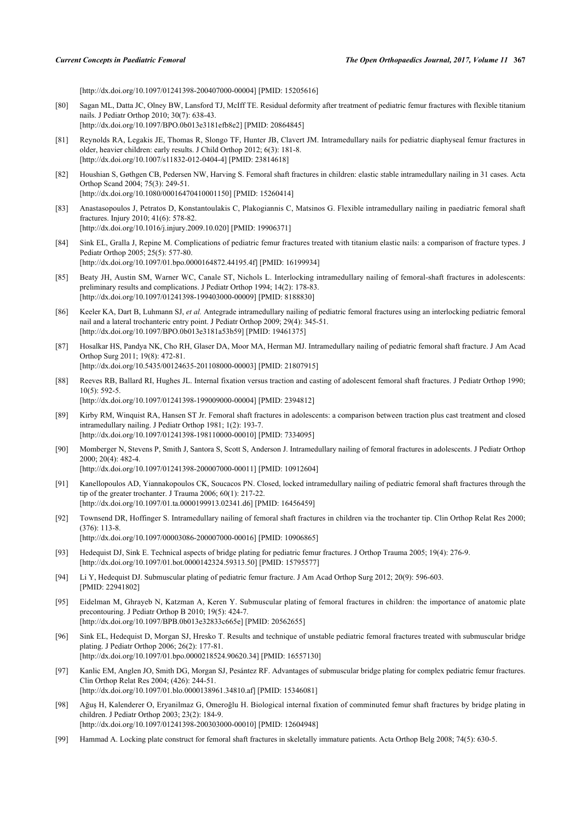[\[http://dx.doi.org/10.1097/01241398-200407000-00004](http://dx.doi.org/10.1097/01241398-200407000-00004)] [PMID: [15205616\]](http://www.ncbi.nlm.nih.gov/pubmed/15205616)

- <span id="page-14-0"></span>[80] Sagan ML, Datta JC, Olney BW, Lansford TJ, McIff TE. Residual deformity after treatment of pediatric femur fractures with flexible titanium nails. J Pediatr Orthop 2010; 30(7): 638-43. [\[http://dx.doi.org/10.1097/BPO.0b013e3181efb8e2\]](http://dx.doi.org/10.1097/BPO.0b013e3181efb8e2) [PMID: [20864845](http://www.ncbi.nlm.nih.gov/pubmed/20864845)]
- <span id="page-14-1"></span>[81] Reynolds RA, Legakis JE, Thomas R, Slongo TF, Hunter JB, Clavert JM. Intramedullary nails for pediatric diaphyseal femur fractures in older, heavier children: early results. J Child Orthop 2012; 6(3): 181-8. [\[http://dx.doi.org/10.1007/s11832-012-0404-4\]](http://dx.doi.org/10.1007/s11832-012-0404-4) [PMID: [23814618](http://www.ncbi.nlm.nih.gov/pubmed/23814618)]
- <span id="page-14-2"></span>[82] Houshian S, Gøthgen CB, Pedersen NW, Harving S. Femoral shaft fractures in children: elastic stable intramedullary nailing in 31 cases. Acta Orthop Scand 2004; 75(3): 249-51. [\[http://dx.doi.org/10.1080/00016470410001150\]](http://dx.doi.org/10.1080/00016470410001150) [PMID: [15260414](http://www.ncbi.nlm.nih.gov/pubmed/15260414)]
- <span id="page-14-3"></span>[83] Anastasopoulos J, Petratos D, Konstantoulakis C, Plakogiannis C, Matsinos G. Flexible intramedullary nailing in paediatric femoral shaft fractures. Injury 2010; 41(6): 578-82. [\[http://dx.doi.org/10.1016/j.injury.2009.10.020](http://dx.doi.org/10.1016/j.injury.2009.10.020)] [PMID: [19906371\]](http://www.ncbi.nlm.nih.gov/pubmed/19906371)
- <span id="page-14-4"></span>[84] Sink EL, Gralla J, Repine M. Complications of pediatric femur fractures treated with titanium elastic nails: a comparison of fracture types. J Pediatr Orthop 2005; 25(5): 577-80. [\[http://dx.doi.org/10.1097/01.bpo.0000164872.44195.4f](http://dx.doi.org/10.1097/01.bpo.0000164872.44195.4f)] [PMID: [16199934](http://www.ncbi.nlm.nih.gov/pubmed/16199934)]
- <span id="page-14-5"></span>[85] Beaty JH, Austin SM, Warner WC, Canale ST, Nichols L. Interlocking intramedullary nailing of femoral-shaft fractures in adolescents: preliminary results and complications. J Pediatr Orthop 1994; 14(2): 178-83. [\[http://dx.doi.org/10.1097/01241398-199403000-00009](http://dx.doi.org/10.1097/01241398-199403000-00009)] [PMID: [8188830\]](http://www.ncbi.nlm.nih.gov/pubmed/8188830)
- <span id="page-14-6"></span>[86] Keeler KA, Dart B, Luhmann SJ, *et al.* Antegrade intramedullary nailing of pediatric femoral fractures using an interlocking pediatric femoral nail and a lateral trochanteric entry point. J Pediatr Orthop 2009; 29(4): 345-51. [\[http://dx.doi.org/10.1097/BPO.0b013e3181a53b59](http://dx.doi.org/10.1097/BPO.0b013e3181a53b59)] [PMID: [19461375](http://www.ncbi.nlm.nih.gov/pubmed/19461375)]
- <span id="page-14-7"></span>[87] Hosalkar HS, Pandya NK, Cho RH, Glaser DA, Moor MA, Herman MJ. Intramedullary nailing of pediatric femoral shaft fracture. J Am Acad Orthop Surg 2011; 19(8): 472-81. [\[http://dx.doi.org/10.5435/00124635-201108000-00003](http://dx.doi.org/10.5435/00124635-201108000-00003)] [PMID: [21807915\]](http://www.ncbi.nlm.nih.gov/pubmed/21807915)
- <span id="page-14-8"></span>[88] Reeves RB, Ballard RI, Hughes JL. Internal fixation versus traction and casting of adolescent femoral shaft fractures. J Pediatr Orthop 1990; 10(5): 592-5. [\[http://dx.doi.org/10.1097/01241398-199009000-00004](http://dx.doi.org/10.1097/01241398-199009000-00004)] [PMID: [2394812\]](http://www.ncbi.nlm.nih.gov/pubmed/2394812)
- <span id="page-14-9"></span>[89] Kirby RM, Winquist RA, Hansen ST Jr. Femoral shaft fractures in adolescents: a comparison between traction plus cast treatment and closed intramedullary nailing. J Pediatr Orthop 1981; 1(2): 193-7. [\[http://dx.doi.org/10.1097/01241398-198110000-00010](http://dx.doi.org/10.1097/01241398-198110000-00010)] [PMID: [7334095\]](http://www.ncbi.nlm.nih.gov/pubmed/7334095)
- <span id="page-14-10"></span>[90] Momberger N, Stevens P, Smith J, Santora S, Scott S, Anderson J. Intramedullary nailing of femoral fractures in adolescents. J Pediatr Orthop 2000; 20(4): 482-4. [\[http://dx.doi.org/10.1097/01241398-200007000-00011](http://dx.doi.org/10.1097/01241398-200007000-00011)] [PMID: [10912604\]](http://www.ncbi.nlm.nih.gov/pubmed/10912604)
- <span id="page-14-11"></span>[91] Kanellopoulos AD, Yiannakopoulos CK, Soucacos PN. Closed, locked intramedullary nailing of pediatric femoral shaft fractures through the tip of the greater trochanter. J Trauma 2006; 60(1): 217-22. [\[http://dx.doi.org/10.1097/01.ta.0000199913.02341.d6\]](http://dx.doi.org/10.1097/01.ta.0000199913.02341.d6) [PMID: [16456459](http://www.ncbi.nlm.nih.gov/pubmed/16456459)]
- <span id="page-14-12"></span>[92] Townsend DR, Hoffinger S. Intramedullary nailing of femoral shaft fractures in children via the trochanter tip. Clin Orthop Relat Res 2000; (376): 113-8. [\[http://dx.doi.org/10.1097/00003086-200007000-00016](http://dx.doi.org/10.1097/00003086-200007000-00016)] [PMID: [10906865\]](http://www.ncbi.nlm.nih.gov/pubmed/10906865)
- <span id="page-14-13"></span>[93] Hedequist DJ, Sink E. Technical aspects of bridge plating for pediatric femur fractures. J Orthop Trauma 2005; 19(4): 276-9. [\[http://dx.doi.org/10.1097/01.bot.0000142324.59313.50](http://dx.doi.org/10.1097/01.bot.0000142324.59313.50)] [PMID: [15795577\]](http://www.ncbi.nlm.nih.gov/pubmed/15795577)
- <span id="page-14-14"></span>[94] Li Y, Hedequist DJ. Submuscular plating of pediatric femur fracture. J Am Acad Orthop Surg 2012; 20(9): 596-603. [PMID: [22941802\]](http://www.ncbi.nlm.nih.gov/pubmed/22941802)
- <span id="page-14-15"></span>[95] Eidelman M, Ghrayeb N, Katzman A, Keren Y. Submuscular plating of femoral fractures in children: the importance of anatomic plate precontouring. J Pediatr Orthop B 2010; 19(5): 424-7. [\[http://dx.doi.org/10.1097/BPB.0b013e32833c665e\]](http://dx.doi.org/10.1097/BPB.0b013e32833c665e) [PMID: [20562655](http://www.ncbi.nlm.nih.gov/pubmed/20562655)]
- <span id="page-14-16"></span>[96] Sink EL, Hedequist D, Morgan SJ, Hresko T. Results and technique of unstable pediatric femoral fractures treated with submuscular bridge plating. J Pediatr Orthop 2006; 26(2): 177-81. [\[http://dx.doi.org/10.1097/01.bpo.0000218524.90620.34\]](http://dx.doi.org/10.1097/01.bpo.0000218524.90620.34) [PMID: [16557130](http://www.ncbi.nlm.nih.gov/pubmed/16557130)]
- [97] Kanlic EM, Anglen JO, Smith DG, Morgan SJ, Pesántez RF. Advantages of submuscular bridge plating for complex pediatric femur fractures. Clin Orthop Relat Res 2004; (426): 244-51. [\[http://dx.doi.org/10.1097/01.blo.0000138961.34810.af](http://dx.doi.org/10.1097/01.blo.0000138961.34810.af)] [PMID: [15346081\]](http://www.ncbi.nlm.nih.gov/pubmed/15346081)
- <span id="page-14-17"></span>[98] Ağuş H, Kalenderer O, Eryanilmaz G, Omeroğlu H. Biological internal fixation of comminuted femur shaft fractures by bridge plating in children. J Pediatr Orthop 2003; 23(2): 184-9. [\[http://dx.doi.org/10.1097/01241398-200303000-00010](http://dx.doi.org/10.1097/01241398-200303000-00010)] [PMID: [12604948\]](http://www.ncbi.nlm.nih.gov/pubmed/12604948)
- <span id="page-14-18"></span>[99] Hammad A. Locking plate construct for femoral shaft fractures in skeletally immature patients. Acta Orthop Belg 2008; 74(5): 630-5.